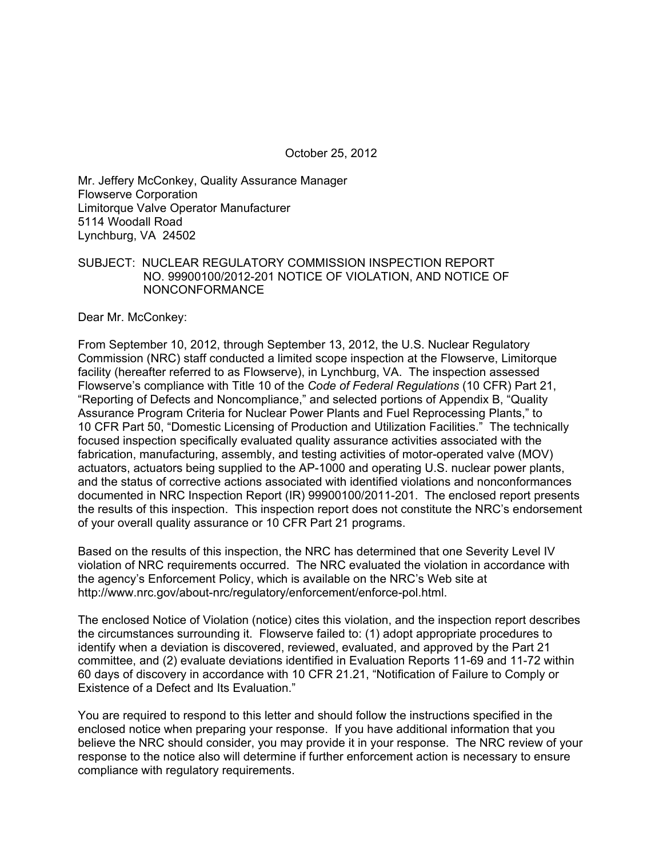Mr. Jeffery McConkey, Quality Assurance Manager Flowserve Corporation Limitorque Valve Operator Manufacturer 5114 Woodall Road Lynchburg, VA 24502

### SUBJECT: NUCLEAR REGULATORY COMMISSION INSPECTION REPORT NO. 99900100/2012-201 NOTICE OF VIOLATION, AND NOTICE OF NONCONFORMANCE

Dear Mr. McConkey:

From September 10, 2012, through September 13, 2012, the U.S. Nuclear Regulatory Commission (NRC) staff conducted a limited scope inspection at the Flowserve, Limitorque facility (hereafter referred to as Flowserve), in Lynchburg, VA. The inspection assessed Flowserve's compliance with Title 10 of the *Code of Federal Regulations* (10 CFR) Part 21, "Reporting of Defects and Noncompliance," and selected portions of Appendix B, "Quality Assurance Program Criteria for Nuclear Power Plants and Fuel Reprocessing Plants," to 10 CFR Part 50, "Domestic Licensing of Production and Utilization Facilities." The technically focused inspection specifically evaluated quality assurance activities associated with the fabrication, manufacturing, assembly, and testing activities of motor-operated valve (MOV) actuators, actuators being supplied to the AP-1000 and operating U.S. nuclear power plants, and the status of corrective actions associated with identified violations and nonconformances documented in NRC Inspection Report (IR) 99900100/2011-201. The enclosed report presents the results of this inspection. This inspection report does not constitute the NRC's endorsement of your overall quality assurance or 10 CFR Part 21 programs.

Based on the results of this inspection, the NRC has determined that one Severity Level IV violation of NRC requirements occurred. The NRC evaluated the violation in accordance with the agency's Enforcement Policy, which is available on the NRC's Web site at http://www.nrc.gov/about-nrc/regulatory/enforcement/enforce-pol.html.

The enclosed Notice of Violation (notice) cites this violation, and the inspection report describes the circumstances surrounding it. Flowserve failed to: (1) adopt appropriate procedures to identify when a deviation is discovered, reviewed, evaluated, and approved by the Part 21 committee, and (2) evaluate deviations identified in Evaluation Reports 11-69 and 11-72 within 60 days of discovery in accordance with 10 CFR 21.21, "Notification of Failure to Comply or Existence of a Defect and Its Evaluation."

You are required to respond to this letter and should follow the instructions specified in the enclosed notice when preparing your response. If you have additional information that you believe the NRC should consider, you may provide it in your response. The NRC review of your response to the notice also will determine if further enforcement action is necessary to ensure compliance with regulatory requirements.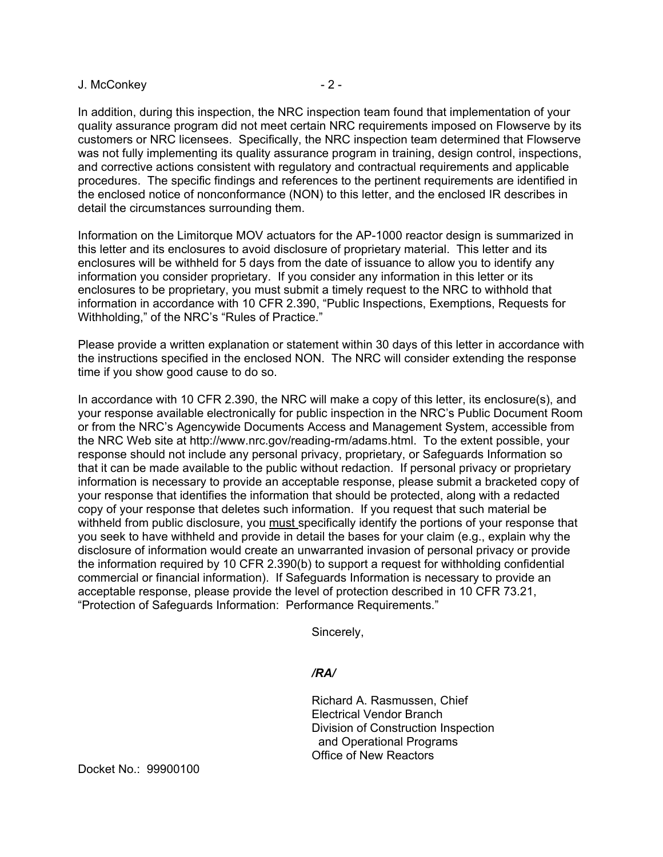### J. McConkey 2 -

In addition, during this inspection, the NRC inspection team found that implementation of your quality assurance program did not meet certain NRC requirements imposed on Flowserve by its customers or NRC licensees. Specifically, the NRC inspection team determined that Flowserve was not fully implementing its quality assurance program in training, design control, inspections, and corrective actions consistent with regulatory and contractual requirements and applicable procedures. The specific findings and references to the pertinent requirements are identified in the enclosed notice of nonconformance (NON) to this letter, and the enclosed IR describes in detail the circumstances surrounding them.

Information on the Limitorque MOV actuators for the AP-1000 reactor design is summarized in this letter and its enclosures to avoid disclosure of proprietary material. This letter and its enclosures will be withheld for 5 days from the date of issuance to allow you to identify any information you consider proprietary. If you consider any information in this letter or its enclosures to be proprietary, you must submit a timely request to the NRC to withhold that information in accordance with 10 CFR 2.390, "Public Inspections, Exemptions, Requests for Withholding," of the NRC's "Rules of Practice."

Please provide a written explanation or statement within 30 days of this letter in accordance with the instructions specified in the enclosed NON. The NRC will consider extending the response time if you show good cause to do so.

In accordance with 10 CFR 2.390, the NRC will make a copy of this letter, its enclosure(s), and your response available electronically for public inspection in the NRC's Public Document Room or from the NRC's Agencywide Documents Access and Management System, accessible from the NRC Web site at http://www.nrc.gov/reading-rm/adams.html. To the extent possible, your response should not include any personal privacy, proprietary, or Safeguards Information so that it can be made available to the public without redaction. If personal privacy or proprietary information is necessary to provide an acceptable response, please submit a bracketed copy of your response that identifies the information that should be protected, along with a redacted copy of your response that deletes such information. If you request that such material be withheld from public disclosure, you must specifically identify the portions of your response that you seek to have withheld and provide in detail the bases for your claim (e.g., explain why the disclosure of information would create an unwarranted invasion of personal privacy or provide the information required by 10 CFR 2.390(b) to support a request for withholding confidential commercial or financial information). If Safeguards Information is necessary to provide an acceptable response, please provide the level of protection described in 10 CFR 73.21, "Protection of Safeguards Information: Performance Requirements."

Sincerely,

### */RA/*

Richard A. Rasmussen, Chief Electrical Vendor Branch Division of Construction Inspection and Operational Programs Office of New Reactors

Docket No.: 99900100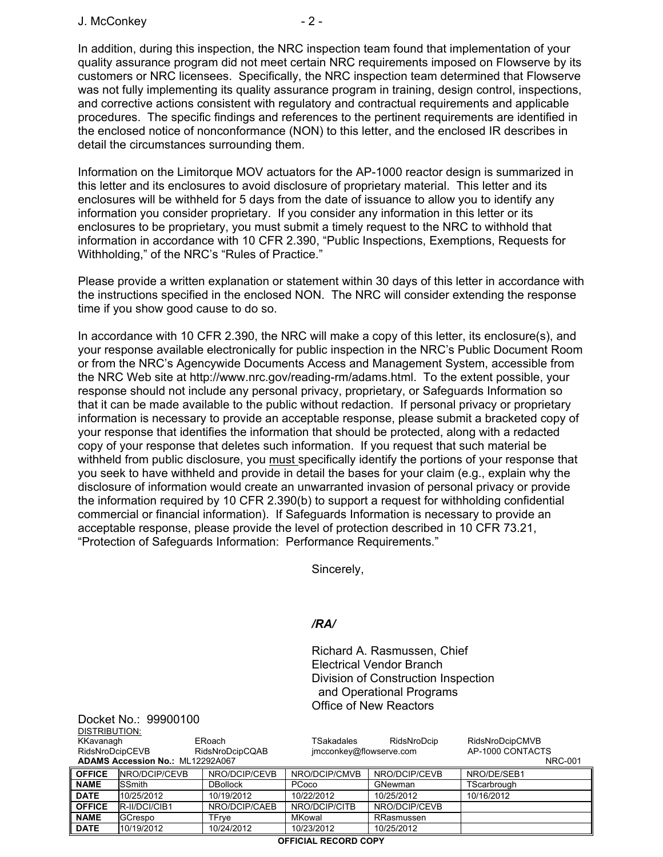J. McConkey - 2 -

Docket No.: 99900100

In addition, during this inspection, the NRC inspection team found that implementation of your quality assurance program did not meet certain NRC requirements imposed on Flowserve by its customers or NRC licensees. Specifically, the NRC inspection team determined that Flowserve was not fully implementing its quality assurance program in training, design control, inspections, and corrective actions consistent with regulatory and contractual requirements and applicable procedures. The specific findings and references to the pertinent requirements are identified in the enclosed notice of nonconformance (NON) to this letter, and the enclosed IR describes in detail the circumstances surrounding them.

Information on the Limitorque MOV actuators for the AP-1000 reactor design is summarized in this letter and its enclosures to avoid disclosure of proprietary material. This letter and its enclosures will be withheld for 5 days from the date of issuance to allow you to identify any information you consider proprietary. If you consider any information in this letter or its enclosures to be proprietary, you must submit a timely request to the NRC to withhold that information in accordance with 10 CFR 2.390, "Public Inspections, Exemptions, Requests for Withholding," of the NRC's "Rules of Practice."

Please provide a written explanation or statement within 30 days of this letter in accordance with the instructions specified in the enclosed NON. The NRC will consider extending the response time if you show good cause to do so.

In accordance with 10 CFR 2.390, the NRC will make a copy of this letter, its enclosure(s), and your response available electronically for public inspection in the NRC's Public Document Room or from the NRC's Agencywide Documents Access and Management System, accessible from the NRC Web site at http://www.nrc.gov/reading-rm/adams.html. To the extent possible, your response should not include any personal privacy, proprietary, or Safeguards Information so that it can be made available to the public without redaction. If personal privacy or proprietary information is necessary to provide an acceptable response, please submit a bracketed copy of your response that identifies the information that should be protected, along with a redacted copy of your response that deletes such information. If you request that such material be withheld from public disclosure, you must specifically identify the portions of your response that you seek to have withheld and provide in detail the bases for your claim (e.g., explain why the disclosure of information would create an unwarranted invasion of personal privacy or provide the information required by 10 CFR 2.390(b) to support a request for withholding confidential commercial or financial information). If Safeguards Information is necessary to provide an acceptable response, please provide the level of protection described in 10 CFR 73.21, "Protection of Safeguards Information: Performance Requirements."

Sincerely,

### */RA/*

Richard A. Rasmussen, Chief Electrical Vendor Branch Division of Construction Inspection and Operational Programs Office of New Reactors

| DISTRIBUTION:                    |                |                 |                         |               |                  |
|----------------------------------|----------------|-----------------|-------------------------|---------------|------------------|
| KKavanagh                        |                | ERoach          | TSakadales              | RidsNroDcip   | RidsNroDcipCMVB  |
| RidsNroDcipCEVB                  |                | RidsNroDcipCQAB | jmcconkey@flowserve.com |               | AP-1000 CONTACTS |
| ADAMS Accession No.: ML12292A067 |                |                 |                         |               | <b>NRC-001</b>   |
| <b>OFFICE</b>                    | NRO/DCIP/CEVB  | NRO/DCIP/CEVB   | NRO/DCIP/CMVB           | NRO/DCIP/CEVB | NRO/DE/SEB1      |
| <b>NAME</b>                      | <b>SSmith</b>  | <b>DBollock</b> | PCoco                   | GNewman       | TScarbrough      |
| <b>DATE</b>                      | 10/25/2012     | 10/19/2012      | 10/22/2012              | 10/25/2012    | 10/16/2012       |
| <b>OFFICE</b>                    | R-II/DCI/CIB1  | NRO/DCIP/CAEB   | NRO/DCIP/CITB           | NRO/DCIP/CEVB |                  |
| <b>NAME</b>                      | <b>GCrespo</b> | TFrve           | MKowal                  | RRasmussen    |                  |
| <b>DATE</b>                      | 10/19/2012     | 10/24/2012      | 10/23/2012              | 10/25/2012    |                  |
| <b>OCCICIAL DECODD CODV</b>      |                |                 |                         |               |                  |

**OFFICIAL RECORD COPY**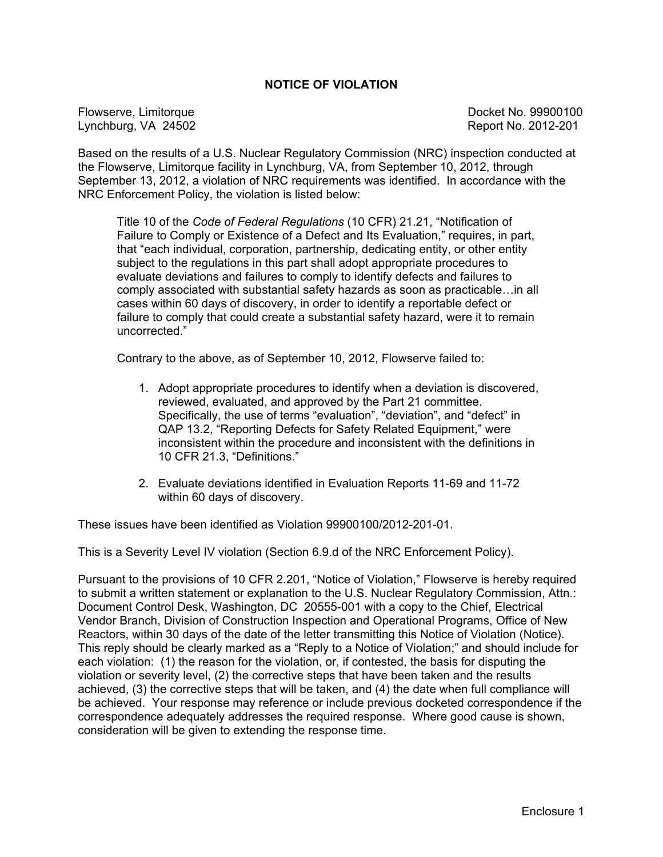### **NOTICE OF VIOLATION**

Flowserve, Limitorque **Docket No. 99900100** Lynchburg, VA 24502 Report No. 2012-201

Based on the results of a U.S. Nuclear Regulatory Commission (NRC) inspection conducted at the Flowserve, Limitorque facility in Lynchburg, VA, from September 10, 2012, through September 13, 2012, a violation of NRC requirements was identified. In accordance with the NRC Enforcement Policy, the violation is listed below:

Title 10 of the *Code of Federal Regulations* (10 CFR) 21.21, "Notification of Failure to Comply or Existence of a Defect and Its Evaluation," requires, in part, that "each individual, corporation, partnership, dedicating entity, or other entity subject to the regulations in this part shall adopt appropriate procedures to evaluate deviations and failures to comply to identify defects and failures to comply associated with substantial safety hazards as soon as practicable…in all cases within 60 days of discovery, in order to identify a reportable defect or failure to comply that could create a substantial safety hazard, were it to remain uncorrected."

Contrary to the above, as of September 10, 2012, Flowserve failed to:

- 1. Adopt appropriate procedures to identify when a deviation is discovered, reviewed, evaluated, and approved by the Part 21 committee. Specifically, the use of terms "evaluation", "deviation", and "defect" in QAP 13.2, "Reporting Defects for Safety Related Equipment," were inconsistent within the procedure and inconsistent with the definitions in 10 CFR 21.3, "Definitions."
- 2. Evaluate deviations identified in Evaluation Reports 11-69 and 11-72 within 60 days of discovery.

These issues have been identified as Violation 99900100/2012-201-01.

This is a Severity Level IV violation (Section 6.9.d of the NRC Enforcement Policy).

Pursuant to the provisions of 10 CFR 2.201, "Notice of Violation," Flowserve is hereby required to submit a written statement or explanation to the U.S. Nuclear Regulatory Commission, Attn.: Document Control Desk, Washington, DC 20555-001 with a copy to the Chief, Electrical Vendor Branch, Division of Construction Inspection and Operational Programs, Office of New Reactors, within 30 days of the date of the letter transmitting this Notice of Violation (Notice). This reply should be clearly marked as a "Reply to a Notice of Violation;" and should include for each violation: (1) the reason for the violation, or, if contested, the basis for disputing the violation or severity level, (2) the corrective steps that have been taken and the results achieved, (3) the corrective steps that will be taken, and (4) the date when full compliance will be achieved. Your response may reference or include previous docketed correspondence if the correspondence adequately addresses the required response. Where good cause is shown, consideration will be given to extending the response time.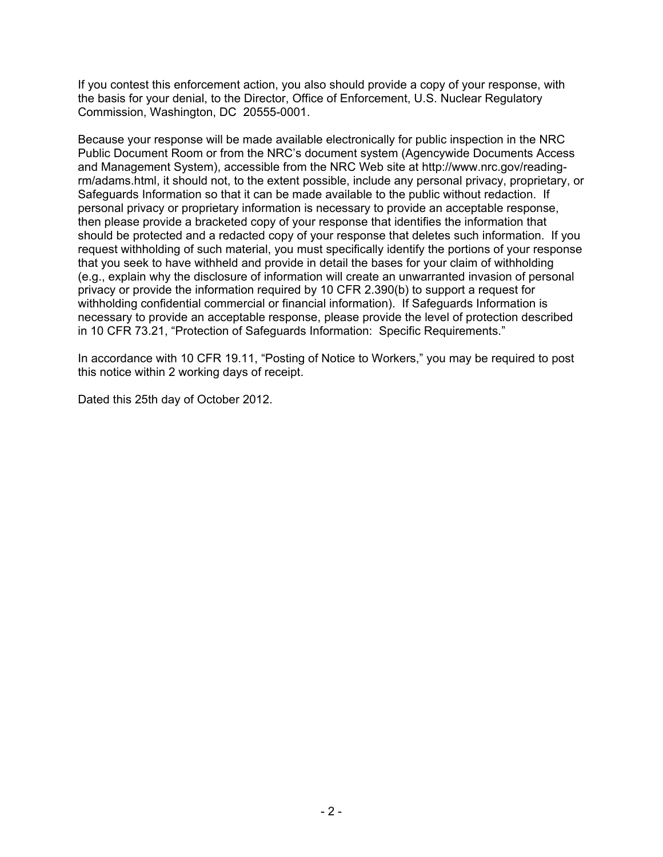If you contest this enforcement action, you also should provide a copy of your response, with the basis for your denial, to the Director, Office of Enforcement, U.S. Nuclear Regulatory Commission, Washington, DC 20555-0001.

Because your response will be made available electronically for public inspection in the NRC Public Document Room or from the NRC's document system (Agencywide Documents Access and Management System), accessible from the NRC Web site at http://www.nrc.gov/readingrm/adams.html, it should not, to the extent possible, include any personal privacy, proprietary, or Safeguards Information so that it can be made available to the public without redaction. If personal privacy or proprietary information is necessary to provide an acceptable response, then please provide a bracketed copy of your response that identifies the information that should be protected and a redacted copy of your response that deletes such information. If you request withholding of such material, you must specifically identify the portions of your response that you seek to have withheld and provide in detail the bases for your claim of withholding (e.g., explain why the disclosure of information will create an unwarranted invasion of personal privacy or provide the information required by 10 CFR 2.390(b) to support a request for withholding confidential commercial or financial information). If Safeguards Information is necessary to provide an acceptable response, please provide the level of protection described in 10 CFR 73.21, "Protection of Safeguards Information: Specific Requirements."

In accordance with 10 CFR 19.11, "Posting of Notice to Workers," you may be required to post this notice within 2 working days of receipt.

Dated this 25th day of October 2012.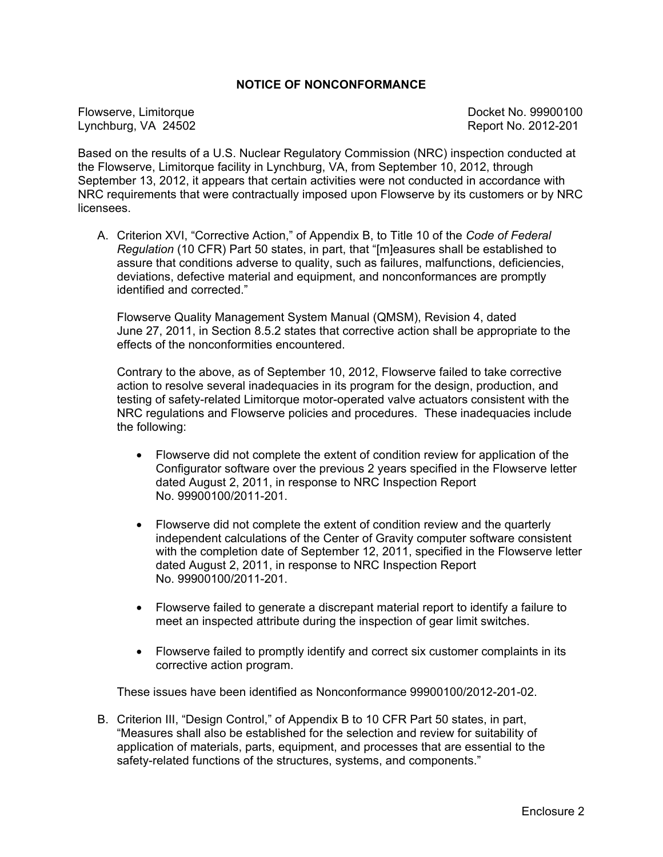### **NOTICE OF NONCONFORMANCE**

Lynchburg, VA 24502 Report No. 2012-201

Flowserve, Limitorque **Docket No. 99900100** 

Based on the results of a U.S. Nuclear Regulatory Commission (NRC) inspection conducted at the Flowserve, Limitorque facility in Lynchburg, VA, from September 10, 2012, through September 13, 2012, it appears that certain activities were not conducted in accordance with NRC requirements that were contractually imposed upon Flowserve by its customers or by NRC **licensees** 

A. Criterion XVI, "Corrective Action," of Appendix B, to Title 10 of the *Code of Federal Regulation* (10 CFR) Part 50 states, in part, that "[m]easures shall be established to assure that conditions adverse to quality, such as failures, malfunctions, deficiencies, deviations, defective material and equipment, and nonconformances are promptly identified and corrected."

Flowserve Quality Management System Manual (QMSM), Revision 4, dated June 27, 2011, in Section 8.5.2 states that corrective action shall be appropriate to the effects of the nonconformities encountered.

Contrary to the above, as of September 10, 2012, Flowserve failed to take corrective action to resolve several inadequacies in its program for the design, production, and testing of safety-related Limitorque motor-operated valve actuators consistent with the NRC regulations and Flowserve policies and procedures. These inadequacies include the following:

- Flowserve did not complete the extent of condition review for application of the Configurator software over the previous 2 years specified in the Flowserve letter dated August 2, 2011, in response to NRC Inspection Report No. 99900100/2011-201.
- Flowserve did not complete the extent of condition review and the quarterly independent calculations of the Center of Gravity computer software consistent with the completion date of September 12, 2011, specified in the Flowserve letter dated August 2, 2011, in response to NRC Inspection Report No. 99900100/2011-201.
- Flowserve failed to generate a discrepant material report to identify a failure to meet an inspected attribute during the inspection of gear limit switches.
- Flowserve failed to promptly identify and correct six customer complaints in its corrective action program.

These issues have been identified as Nonconformance 99900100/2012-201-02.

B. Criterion III, "Design Control," of Appendix B to 10 CFR Part 50 states, in part, "Measures shall also be established for the selection and review for suitability of application of materials, parts, equipment, and processes that are essential to the safety-related functions of the structures, systems, and components."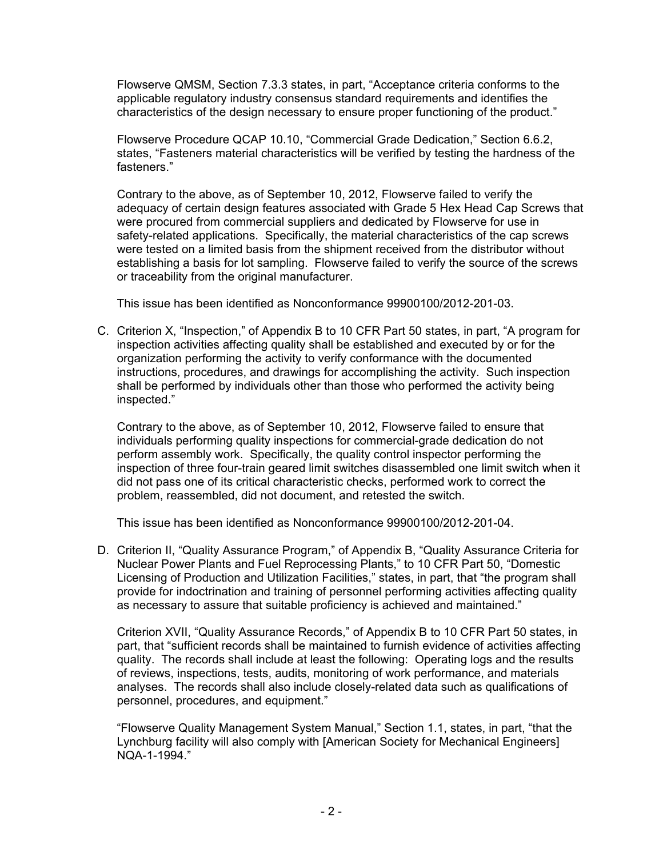Flowserve QMSM, Section 7.3.3 states, in part, "Acceptance criteria conforms to the applicable regulatory industry consensus standard requirements and identifies the characteristics of the design necessary to ensure proper functioning of the product."

Flowserve Procedure QCAP 10.10, "Commercial Grade Dedication," Section 6.6.2, states, "Fasteners material characteristics will be verified by testing the hardness of the fasteners."

Contrary to the above, as of September 10, 2012, Flowserve failed to verify the adequacy of certain design features associated with Grade 5 Hex Head Cap Screws that were procured from commercial suppliers and dedicated by Flowserve for use in safety-related applications. Specifically, the material characteristics of the cap screws were tested on a limited basis from the shipment received from the distributor without establishing a basis for lot sampling. Flowserve failed to verify the source of the screws or traceability from the original manufacturer.

This issue has been identified as Nonconformance 99900100/2012-201-03.

C. Criterion X, "Inspection," of Appendix B to 10 CFR Part 50 states, in part, "A program for inspection activities affecting quality shall be established and executed by or for the organization performing the activity to verify conformance with the documented instructions, procedures, and drawings for accomplishing the activity. Such inspection shall be performed by individuals other than those who performed the activity being inspected."

 Contrary to the above, as of September 10, 2012, Flowserve failed to ensure that individuals performing quality inspections for commercial-grade dedication do not perform assembly work. Specifically, the quality control inspector performing the inspection of three four-train geared limit switches disassembled one limit switch when it did not pass one of its critical characteristic checks, performed work to correct the problem, reassembled, did not document, and retested the switch.

This issue has been identified as Nonconformance 99900100/2012-201-04.

D. Criterion II, "Quality Assurance Program," of Appendix B, "Quality Assurance Criteria for Nuclear Power Plants and Fuel Reprocessing Plants," to 10 CFR Part 50, "Domestic Licensing of Production and Utilization Facilities," states, in part, that "the program shall provide for indoctrination and training of personnel performing activities affecting quality as necessary to assure that suitable proficiency is achieved and maintained."

Criterion XVII, "Quality Assurance Records," of Appendix B to 10 CFR Part 50 states, in part, that "sufficient records shall be maintained to furnish evidence of activities affecting quality. The records shall include at least the following: Operating logs and the results of reviews, inspections, tests, audits, monitoring of work performance, and materials analyses. The records shall also include closely-related data such as qualifications of personnel, procedures, and equipment."

"Flowserve Quality Management System Manual," Section 1.1, states, in part, "that the Lynchburg facility will also comply with [American Society for Mechanical Engineers] NQA-1-1994."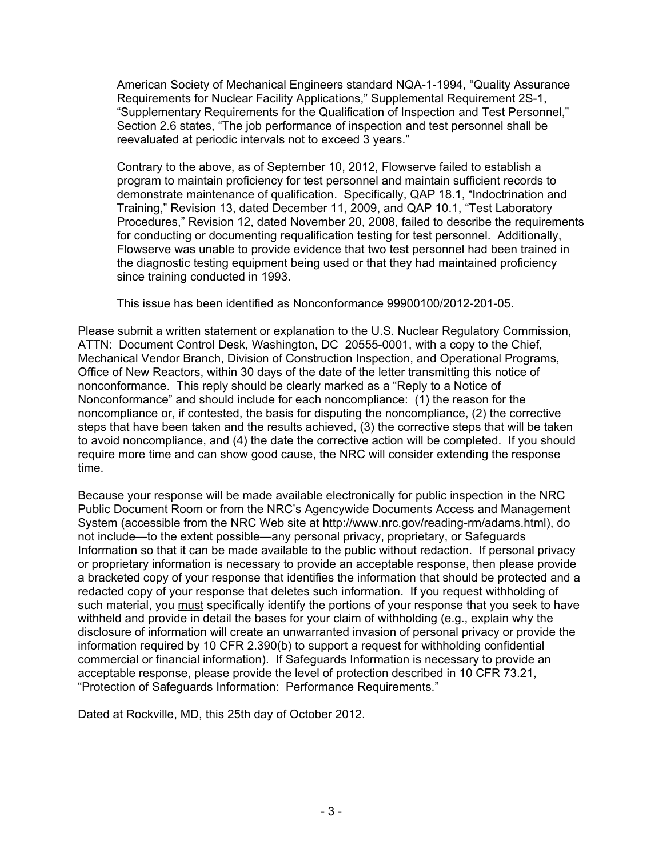American Society of Mechanical Engineers standard NQA-1-1994, "Quality Assurance Requirements for Nuclear Facility Applications," Supplemental Requirement 2S-1, "Supplementary Requirements for the Qualification of Inspection and Test Personnel," Section 2.6 states, "The job performance of inspection and test personnel shall be reevaluated at periodic intervals not to exceed 3 years."

Contrary to the above, as of September 10, 2012, Flowserve failed to establish a program to maintain proficiency for test personnel and maintain sufficient records to demonstrate maintenance of qualification. Specifically, QAP 18.1, "Indoctrination and Training," Revision 13, dated December 11, 2009, and QAP 10.1, "Test Laboratory Procedures," Revision 12, dated November 20, 2008, failed to describe the requirements for conducting or documenting requalification testing for test personnel. Additionally, Flowserve was unable to provide evidence that two test personnel had been trained in the diagnostic testing equipment being used or that they had maintained proficiency since training conducted in 1993.

This issue has been identified as Nonconformance 99900100/2012-201-05.

Please submit a written statement or explanation to the U.S. Nuclear Regulatory Commission, ATTN: Document Control Desk, Washington, DC 20555-0001, with a copy to the Chief, Mechanical Vendor Branch, Division of Construction Inspection, and Operational Programs, Office of New Reactors, within 30 days of the date of the letter transmitting this notice of nonconformance. This reply should be clearly marked as a "Reply to a Notice of Nonconformance" and should include for each noncompliance: (1) the reason for the noncompliance or, if contested, the basis for disputing the noncompliance, (2) the corrective steps that have been taken and the results achieved, (3) the corrective steps that will be taken to avoid noncompliance, and (4) the date the corrective action will be completed. If you should require more time and can show good cause, the NRC will consider extending the response time.

Because your response will be made available electronically for public inspection in the NRC Public Document Room or from the NRC's Agencywide Documents Access and Management System (accessible from the NRC Web site at http://www.nrc.gov/reading-rm/adams.html), do not include—to the extent possible—any personal privacy, proprietary, or Safeguards Information so that it can be made available to the public without redaction. If personal privacy or proprietary information is necessary to provide an acceptable response, then please provide a bracketed copy of your response that identifies the information that should be protected and a redacted copy of your response that deletes such information. If you request withholding of such material, you must specifically identify the portions of your response that you seek to have withheld and provide in detail the bases for your claim of withholding (e.g., explain why the disclosure of information will create an unwarranted invasion of personal privacy or provide the information required by 10 CFR 2.390(b) to support a request for withholding confidential commercial or financial information). If Safeguards Information is necessary to provide an acceptable response, please provide the level of protection described in 10 CFR 73.21, "Protection of Safeguards Information: Performance Requirements."

Dated at Rockville, MD, this 25th day of October 2012.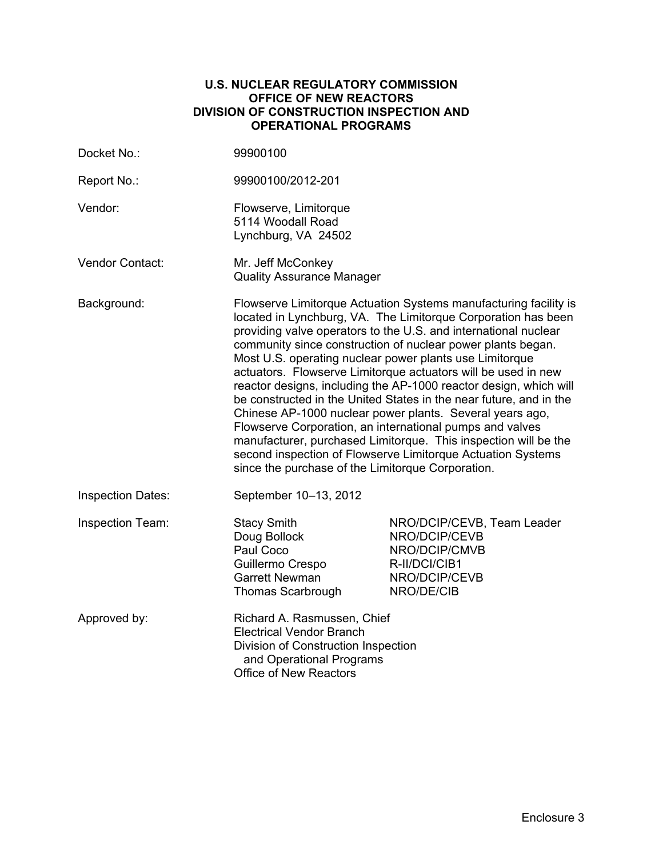#### **U.S. NUCLEAR REGULATORY COMMISSION OFFICE OF NEW REACTORS DIVISION OF CONSTRUCTION INSPECTION AND OPERATIONAL PROGRAMS**

| Docket No.:              | 99900100                                                                                                                                                                                                                                                                                                                                                                                                                                                                                                                                                                                                                                                                                                                                                                                                                                                  |                                                                                                              |
|--------------------------|-----------------------------------------------------------------------------------------------------------------------------------------------------------------------------------------------------------------------------------------------------------------------------------------------------------------------------------------------------------------------------------------------------------------------------------------------------------------------------------------------------------------------------------------------------------------------------------------------------------------------------------------------------------------------------------------------------------------------------------------------------------------------------------------------------------------------------------------------------------|--------------------------------------------------------------------------------------------------------------|
| Report No.:              | 99900100/2012-201                                                                                                                                                                                                                                                                                                                                                                                                                                                                                                                                                                                                                                                                                                                                                                                                                                         |                                                                                                              |
| Vendor:                  | Flowserve, Limitorque<br>5114 Woodall Road<br>Lynchburg, VA 24502                                                                                                                                                                                                                                                                                                                                                                                                                                                                                                                                                                                                                                                                                                                                                                                         |                                                                                                              |
| <b>Vendor Contact:</b>   | Mr. Jeff McConkey<br><b>Quality Assurance Manager</b>                                                                                                                                                                                                                                                                                                                                                                                                                                                                                                                                                                                                                                                                                                                                                                                                     |                                                                                                              |
| Background:              | Flowserve Limitorque Actuation Systems manufacturing facility is<br>located in Lynchburg, VA. The Limitorque Corporation has been<br>providing valve operators to the U.S. and international nuclear<br>community since construction of nuclear power plants began.<br>Most U.S. operating nuclear power plants use Limitorque<br>actuators. Flowserve Limitorque actuators will be used in new<br>reactor designs, including the AP-1000 reactor design, which will<br>be constructed in the United States in the near future, and in the<br>Chinese AP-1000 nuclear power plants. Several years ago,<br>Flowserve Corporation, an international pumps and valves<br>manufacturer, purchased Limitorque. This inspection will be the<br>second inspection of Flowserve Limitorque Actuation Systems<br>since the purchase of the Limitorque Corporation. |                                                                                                              |
| <b>Inspection Dates:</b> | September 10-13, 2012                                                                                                                                                                                                                                                                                                                                                                                                                                                                                                                                                                                                                                                                                                                                                                                                                                     |                                                                                                              |
| Inspection Team:         | <b>Stacy Smith</b><br>Doug Bollock<br>Paul Coco<br>Guillermo Crespo<br><b>Garrett Newman</b><br>Thomas Scarbrough                                                                                                                                                                                                                                                                                                                                                                                                                                                                                                                                                                                                                                                                                                                                         | NRO/DCIP/CEVB, Team Leader<br>NRO/DCIP/CEVB<br>NRO/DCIP/CMVB<br>R-II/DCI/CIB1<br>NRO/DCIP/CEVB<br>NRO/DE/CIB |
| Approved by:             | Richard A. Rasmussen, Chief<br><b>Electrical Vendor Branch</b><br>Division of Construction Inspection<br>and Operational Programs<br><b>Office of New Reactors</b>                                                                                                                                                                                                                                                                                                                                                                                                                                                                                                                                                                                                                                                                                        |                                                                                                              |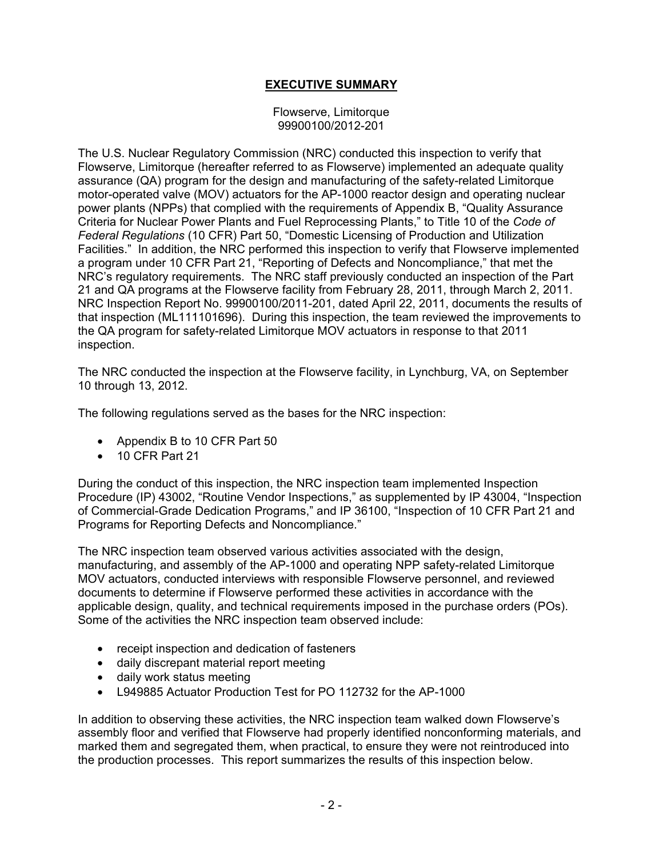# **EXECUTIVE SUMMARY**

Flowserve, Limitorque 99900100/2012-201

The U.S. Nuclear Regulatory Commission (NRC) conducted this inspection to verify that Flowserve, Limitorque (hereafter referred to as Flowserve) implemented an adequate quality assurance (QA) program for the design and manufacturing of the safety-related Limitorque motor-operated valve (MOV) actuators for the AP-1000 reactor design and operating nuclear power plants (NPPs) that complied with the requirements of Appendix B, "Quality Assurance Criteria for Nuclear Power Plants and Fuel Reprocessing Plants," to Title 10 of the *Code of Federal Regulations* (10 CFR) Part 50, "Domestic Licensing of Production and Utilization Facilities." In addition, the NRC performed this inspection to verify that Flowserve implemented a program under 10 CFR Part 21, "Reporting of Defects and Noncompliance," that met the NRC's regulatory requirements. The NRC staff previously conducted an inspection of the Part 21 and QA programs at the Flowserve facility from February 28, 2011, through March 2, 2011. NRC Inspection Report No. 99900100/2011-201, dated April 22, 2011, documents the results of that inspection (ML111101696). During this inspection, the team reviewed the improvements to the QA program for safety-related Limitorque MOV actuators in response to that 2011 inspection.

The NRC conducted the inspection at the Flowserve facility, in Lynchburg, VA, on September 10 through 13, 2012.

The following regulations served as the bases for the NRC inspection:

- Appendix B to 10 CFR Part 50
- 10 CFR Part 21

During the conduct of this inspection, the NRC inspection team implemented Inspection Procedure (IP) 43002, "Routine Vendor Inspections," as supplemented by IP 43004, "Inspection of Commercial-Grade Dedication Programs," and IP 36100, "Inspection of 10 CFR Part 21 and Programs for Reporting Defects and Noncompliance."

The NRC inspection team observed various activities associated with the design, manufacturing, and assembly of the AP-1000 and operating NPP safety-related Limitorque MOV actuators, conducted interviews with responsible Flowserve personnel, and reviewed documents to determine if Flowserve performed these activities in accordance with the applicable design, quality, and technical requirements imposed in the purchase orders (POs). Some of the activities the NRC inspection team observed include:

- receipt inspection and dedication of fasteners
- daily discrepant material report meeting
- daily work status meeting
- L949885 Actuator Production Test for PO 112732 for the AP-1000

In addition to observing these activities, the NRC inspection team walked down Flowserve's assembly floor and verified that Flowserve had properly identified nonconforming materials, and marked them and segregated them, when practical, to ensure they were not reintroduced into the production processes. This report summarizes the results of this inspection below.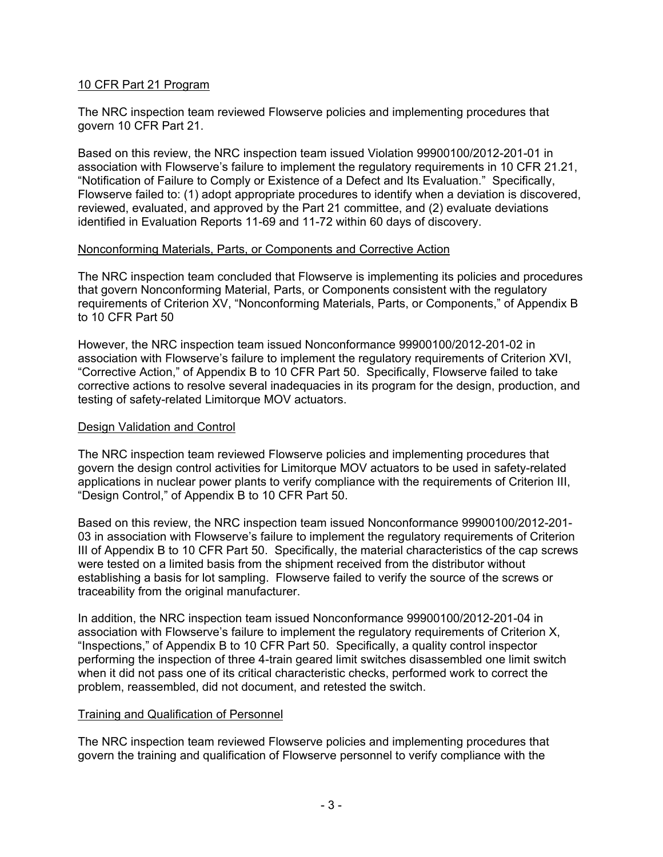### 10 CFR Part 21 Program

The NRC inspection team reviewed Flowserve policies and implementing procedures that govern 10 CFR Part 21.

Based on this review, the NRC inspection team issued Violation 99900100/2012-201-01 in association with Flowserve's failure to implement the regulatory requirements in 10 CFR 21.21, "Notification of Failure to Comply or Existence of a Defect and Its Evaluation." Specifically, Flowserve failed to: (1) adopt appropriate procedures to identify when a deviation is discovered, reviewed, evaluated, and approved by the Part 21 committee, and (2) evaluate deviations identified in Evaluation Reports 11-69 and 11-72 within 60 days of discovery.

### Nonconforming Materials, Parts, or Components and Corrective Action

The NRC inspection team concluded that Flowserve is implementing its policies and procedures that govern Nonconforming Material, Parts, or Components consistent with the regulatory requirements of Criterion XV, "Nonconforming Materials, Parts, or Components," of Appendix B to 10 CFR Part 50

However, the NRC inspection team issued Nonconformance 99900100/2012-201-02 in association with Flowserve's failure to implement the regulatory requirements of Criterion XVI, "Corrective Action," of Appendix B to 10 CFR Part 50. Specifically, Flowserve failed to take corrective actions to resolve several inadequacies in its program for the design, production, and testing of safety-related Limitorque MOV actuators.

### Design Validation and Control

The NRC inspection team reviewed Flowserve policies and implementing procedures that govern the design control activities for Limitorque MOV actuators to be used in safety-related applications in nuclear power plants to verify compliance with the requirements of Criterion III, "Design Control," of Appendix B to 10 CFR Part 50.

Based on this review, the NRC inspection team issued Nonconformance 99900100/2012-201- 03 in association with Flowserve's failure to implement the regulatory requirements of Criterion III of Appendix B to 10 CFR Part 50. Specifically, the material characteristics of the cap screws were tested on a limited basis from the shipment received from the distributor without establishing a basis for lot sampling. Flowserve failed to verify the source of the screws or traceability from the original manufacturer.

In addition, the NRC inspection team issued Nonconformance 99900100/2012-201-04 in association with Flowserve's failure to implement the regulatory requirements of Criterion X, "Inspections," of Appendix B to 10 CFR Part 50. Specifically, a quality control inspector performing the inspection of three 4-train geared limit switches disassembled one limit switch when it did not pass one of its critical characteristic checks, performed work to correct the problem, reassembled, did not document, and retested the switch.

### Training and Qualification of Personnel

The NRC inspection team reviewed Flowserve policies and implementing procedures that govern the training and qualification of Flowserve personnel to verify compliance with the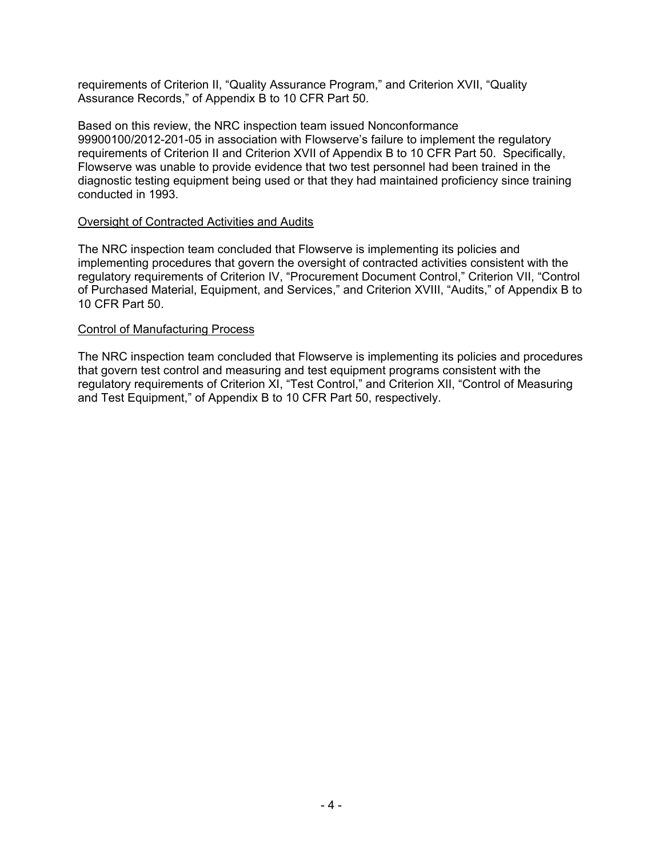requirements of Criterion II, "Quality Assurance Program," and Criterion XVII, "Quality Assurance Records," of Appendix B to 10 CFR Part 50.

Based on this review, the NRC inspection team issued Nonconformance 99900100/2012-201-05 in association with Flowserve's failure to implement the regulatory requirements of Criterion II and Criterion XVII of Appendix B to 10 CFR Part 50. Specifically, Flowserve was unable to provide evidence that two test personnel had been trained in the diagnostic testing equipment being used or that they had maintained proficiency since training conducted in 1993.

#### Oversight of Contracted Activities and Audits

The NRC inspection team concluded that Flowserve is implementing its policies and implementing procedures that govern the oversight of contracted activities consistent with the regulatory requirements of Criterion IV, "Procurement Document Control," Criterion VII, "Control of Purchased Material, Equipment, and Services," and Criterion XVIII, "Audits," of Appendix B to 10 CFR Part 50.

### Control of Manufacturing Process

The NRC inspection team concluded that Flowserve is implementing its policies and procedures that govern test control and measuring and test equipment programs consistent with the regulatory requirements of Criterion XI, "Test Control," and Criterion XII, "Control of Measuring and Test Equipment," of Appendix B to 10 CFR Part 50, respectively.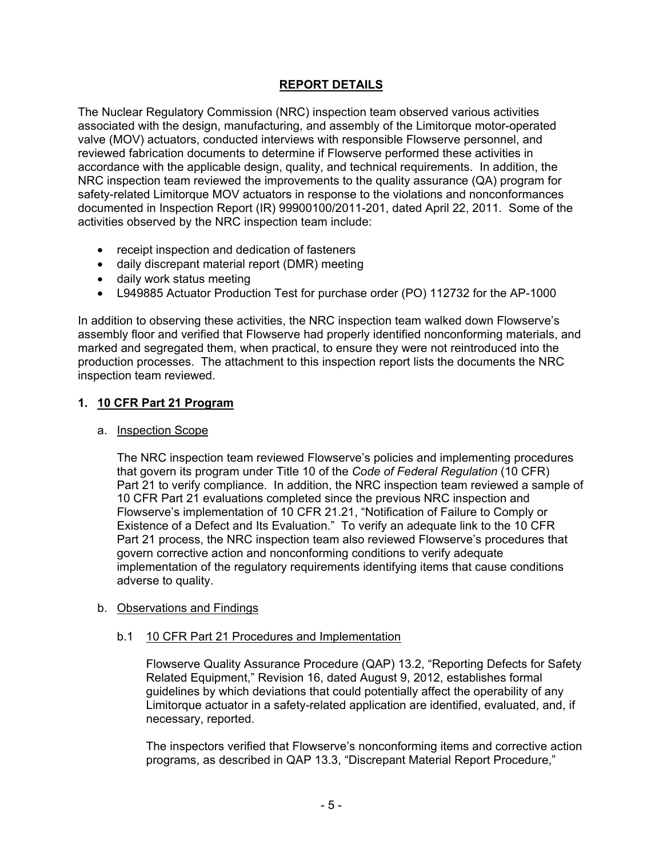# **REPORT DETAILS**

The Nuclear Regulatory Commission (NRC) inspection team observed various activities associated with the design, manufacturing, and assembly of the Limitorque motor-operated valve (MOV) actuators, conducted interviews with responsible Flowserve personnel, and reviewed fabrication documents to determine if Flowserve performed these activities in accordance with the applicable design, quality, and technical requirements. In addition, the NRC inspection team reviewed the improvements to the quality assurance (QA) program for safety-related Limitorque MOV actuators in response to the violations and nonconformances documented in Inspection Report (IR) 99900100/2011-201, dated April 22, 2011. Some of the activities observed by the NRC inspection team include:

- receipt inspection and dedication of fasteners
- daily discrepant material report (DMR) meeting
- daily work status meeting
- L949885 Actuator Production Test for purchase order (PO) 112732 for the AP-1000

In addition to observing these activities, the NRC inspection team walked down Flowserve's assembly floor and verified that Flowserve had properly identified nonconforming materials, and marked and segregated them, when practical, to ensure they were not reintroduced into the production processes. The attachment to this inspection report lists the documents the NRC inspection team reviewed.

### **1. 10 CFR Part 21 Program**

### a. Inspection Scope

The NRC inspection team reviewed Flowserve's policies and implementing procedures that govern its program under Title 10 of the *Code of Federal Regulation* (10 CFR) Part 21 to verify compliance. In addition, the NRC inspection team reviewed a sample of 10 CFR Part 21 evaluations completed since the previous NRC inspection and Flowserve's implementation of 10 CFR 21.21, "Notification of Failure to Comply or Existence of a Defect and Its Evaluation." To verify an adequate link to the 10 CFR Part 21 process, the NRC inspection team also reviewed Flowserve's procedures that govern corrective action and nonconforming conditions to verify adequate implementation of the regulatory requirements identifying items that cause conditions adverse to quality.

### b. Observations and Findings

### b.1 10 CFR Part 21 Procedures and Implementation

Flowserve Quality Assurance Procedure (QAP) 13.2, "Reporting Defects for Safety Related Equipment," Revision 16, dated August 9, 2012, establishes formal guidelines by which deviations that could potentially affect the operability of any Limitorque actuator in a safety-related application are identified, evaluated, and, if necessary, reported.

The inspectors verified that Flowserve's nonconforming items and corrective action programs, as described in QAP 13.3, "Discrepant Material Report Procedure,"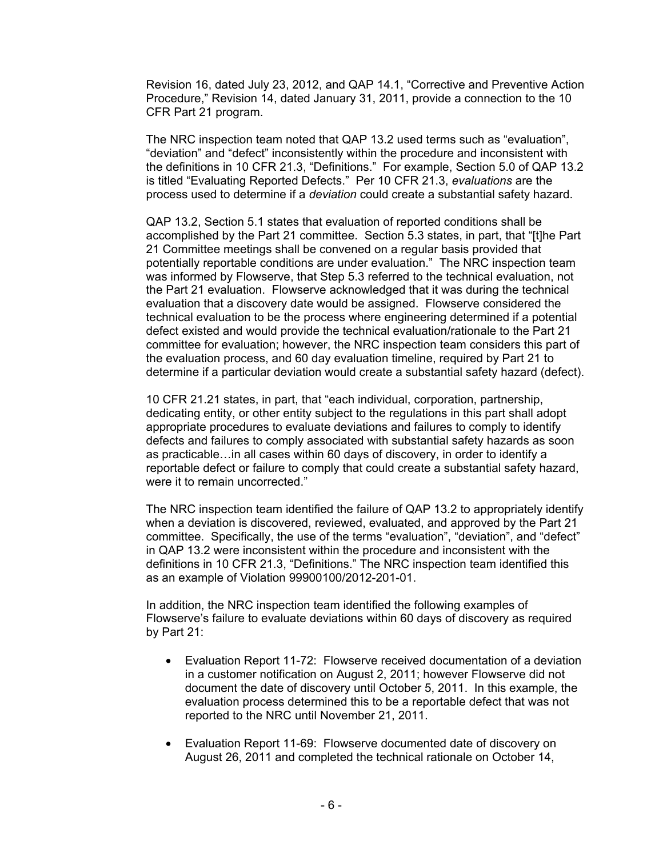Revision 16, dated July 23, 2012, and QAP 14.1, "Corrective and Preventive Action Procedure," Revision 14, dated January 31, 2011, provide a connection to the 10 CFR Part 21 program.

The NRC inspection team noted that QAP 13.2 used terms such as "evaluation", "deviation" and "defect" inconsistently within the procedure and inconsistent with the definitions in 10 CFR 21.3, "Definitions." For example, Section 5.0 of QAP 13.2 is titled "Evaluating Reported Defects." Per 10 CFR 21.3, *evaluations* are the process used to determine if a *deviation* could create a substantial safety hazard.

QAP 13.2, Section 5.1 states that evaluation of reported conditions shall be accomplished by the Part 21 committee. Section 5.3 states, in part, that "[t]he Part 21 Committee meetings shall be convened on a regular basis provided that potentially reportable conditions are under evaluation." The NRC inspection team was informed by Flowserve, that Step 5.3 referred to the technical evaluation, not the Part 21 evaluation. Flowserve acknowledged that it was during the technical evaluation that a discovery date would be assigned. Flowserve considered the technical evaluation to be the process where engineering determined if a potential defect existed and would provide the technical evaluation/rationale to the Part 21 committee for evaluation; however, the NRC inspection team considers this part of the evaluation process, and 60 day evaluation timeline, required by Part 21 to determine if a particular deviation would create a substantial safety hazard (defect).

10 CFR 21.21 states, in part, that "each individual, corporation, partnership, dedicating entity, or other entity subject to the regulations in this part shall adopt appropriate procedures to evaluate deviations and failures to comply to identify defects and failures to comply associated with substantial safety hazards as soon as practicable…in all cases within 60 days of discovery, in order to identify a reportable defect or failure to comply that could create a substantial safety hazard, were it to remain uncorrected."

The NRC inspection team identified the failure of QAP 13.2 to appropriately identify when a deviation is discovered, reviewed, evaluated, and approved by the Part 21 committee. Specifically, the use of the terms "evaluation", "deviation", and "defect" in QAP 13.2 were inconsistent within the procedure and inconsistent with the definitions in 10 CFR 21.3, "Definitions." The NRC inspection team identified this as an example of Violation 99900100/2012-201-01.

In addition, the NRC inspection team identified the following examples of Flowserve's failure to evaluate deviations within 60 days of discovery as required by Part 21:

- Evaluation Report 11-72: Flowserve received documentation of a deviation in a customer notification on August 2, 2011; however Flowserve did not document the date of discovery until October 5, 2011. In this example, the evaluation process determined this to be a reportable defect that was not reported to the NRC until November 21, 2011.
- Evaluation Report 11-69: Flowserve documented date of discovery on August 26, 2011 and completed the technical rationale on October 14,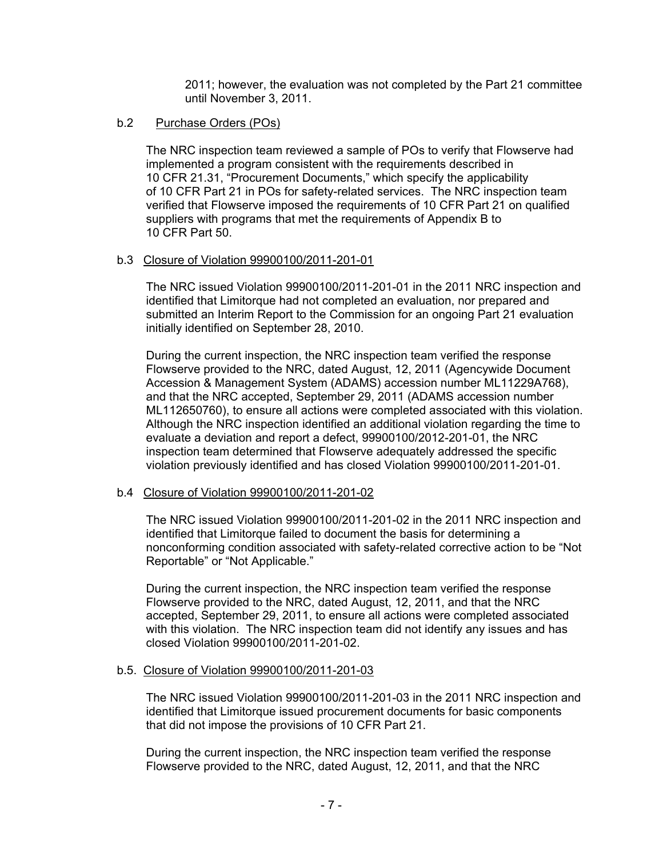2011; however, the evaluation was not completed by the Part 21 committee until November 3, 2011.

### b.2 Purchase Orders (POs)

The NRC inspection team reviewed a sample of POs to verify that Flowserve had implemented a program consistent with the requirements described in 10 CFR 21.31, "Procurement Documents," which specify the applicability of 10 CFR Part 21 in POs for safety-related services. The NRC inspection team verified that Flowserve imposed the requirements of 10 CFR Part 21 on qualified suppliers with programs that met the requirements of Appendix B to 10 CFR Part 50.

### b.3 Closure of Violation 99900100/2011-201-01

The NRC issued Violation 99900100/2011-201-01 in the 2011 NRC inspection and identified that Limitorque had not completed an evaluation, nor prepared and submitted an Interim Report to the Commission for an ongoing Part 21 evaluation initially identified on September 28, 2010.

During the current inspection, the NRC inspection team verified the response Flowserve provided to the NRC, dated August, 12, 2011 (Agencywide Document Accession & Management System (ADAMS) accession number ML11229A768), and that the NRC accepted, September 29, 2011 (ADAMS accession number ML112650760), to ensure all actions were completed associated with this violation. Although the NRC inspection identified an additional violation regarding the time to evaluate a deviation and report a defect, 99900100/2012-201-01, the NRC inspection team determined that Flowserve adequately addressed the specific violation previously identified and has closed Violation 99900100/2011-201-01.

### b.4 Closure of Violation 99900100/2011-201-02

The NRC issued Violation 99900100/2011-201-02 in the 2011 NRC inspection and identified that Limitorque failed to document the basis for determining a nonconforming condition associated with safety-related corrective action to be "Not Reportable" or "Not Applicable."

During the current inspection, the NRC inspection team verified the response Flowserve provided to the NRC, dated August, 12, 2011, and that the NRC accepted, September 29, 2011, to ensure all actions were completed associated with this violation. The NRC inspection team did not identify any issues and has closed Violation 99900100/2011-201-02.

### b.5. Closure of Violation 99900100/2011-201-03

The NRC issued Violation 99900100/2011-201-03 in the 2011 NRC inspection and identified that Limitorque issued procurement documents for basic components that did not impose the provisions of 10 CFR Part 21.

During the current inspection, the NRC inspection team verified the response Flowserve provided to the NRC, dated August, 12, 2011, and that the NRC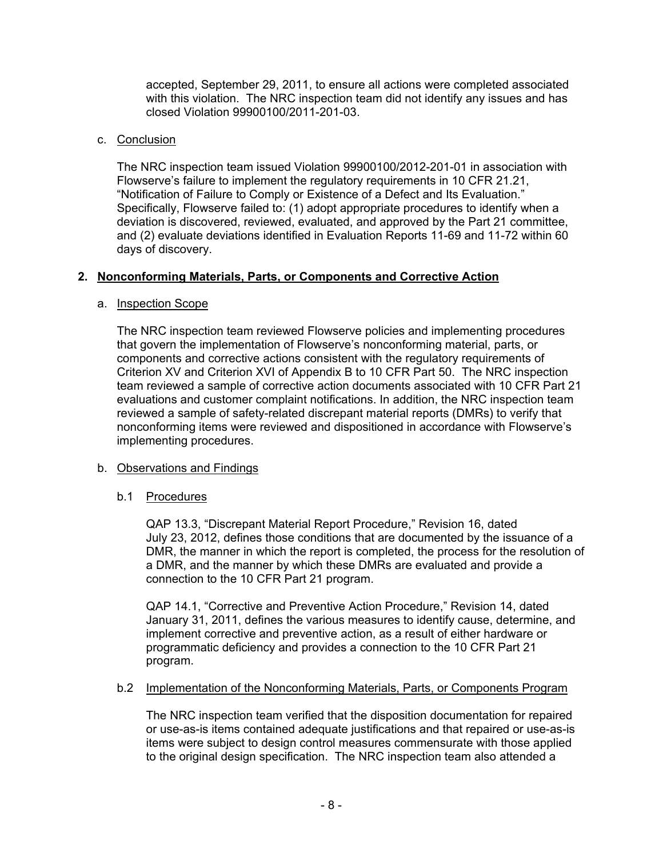accepted, September 29, 2011, to ensure all actions were completed associated with this violation. The NRC inspection team did not identify any issues and has closed Violation 99900100/2011-201-03.

### c. Conclusion

The NRC inspection team issued Violation 99900100/2012-201-01 in association with Flowserve's failure to implement the regulatory requirements in 10 CFR 21.21, "Notification of Failure to Comply or Existence of a Defect and Its Evaluation." Specifically, Flowserve failed to: (1) adopt appropriate procedures to identify when a deviation is discovered, reviewed, evaluated, and approved by the Part 21 committee, and (2) evaluate deviations identified in Evaluation Reports 11-69 and 11-72 within 60 days of discovery.

### **2. Nonconforming Materials, Parts, or Components and Corrective Action**

### a. Inspection Scope

The NRC inspection team reviewed Flowserve policies and implementing procedures that govern the implementation of Flowserve's nonconforming material, parts, or components and corrective actions consistent with the regulatory requirements of Criterion XV and Criterion XVI of Appendix B to 10 CFR Part 50. The NRC inspection team reviewed a sample of corrective action documents associated with 10 CFR Part 21 evaluations and customer complaint notifications. In addition, the NRC inspection team reviewed a sample of safety-related discrepant material reports (DMRs) to verify that nonconforming items were reviewed and dispositioned in accordance with Flowserve's implementing procedures.

# b. Observations and Findings

### b.1 Procedures

QAP 13.3, "Discrepant Material Report Procedure," Revision 16, dated July 23, 2012, defines those conditions that are documented by the issuance of a DMR, the manner in which the report is completed, the process for the resolution of a DMR, and the manner by which these DMRs are evaluated and provide a connection to the 10 CFR Part 21 program.

QAP 14.1, "Corrective and Preventive Action Procedure," Revision 14, dated January 31, 2011, defines the various measures to identify cause, determine, and implement corrective and preventive action, as a result of either hardware or programmatic deficiency and provides a connection to the 10 CFR Part 21 program.

### b.2 Implementation of the Nonconforming Materials, Parts, or Components Program

The NRC inspection team verified that the disposition documentation for repaired or use-as-is items contained adequate justifications and that repaired or use-as-is items were subject to design control measures commensurate with those applied to the original design specification. The NRC inspection team also attended a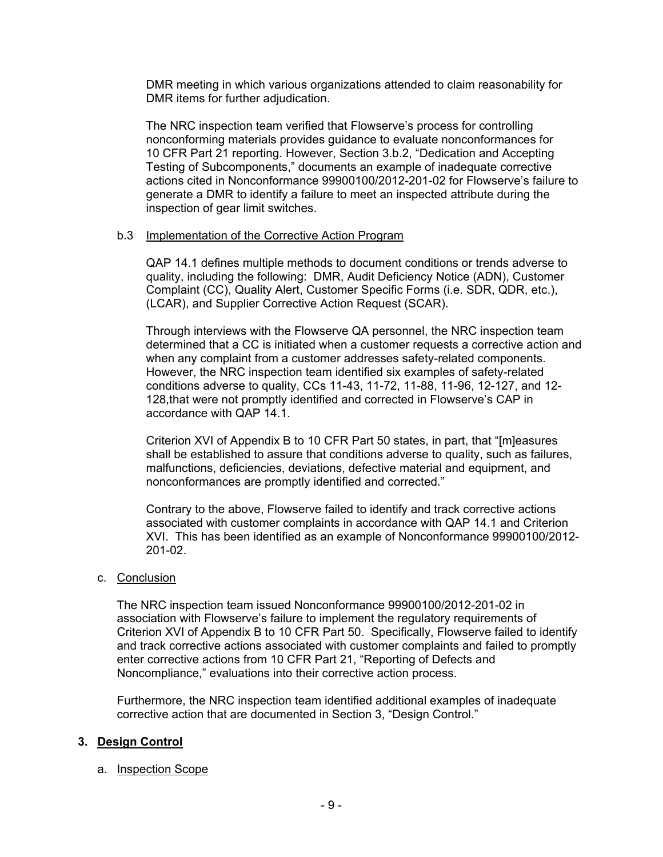DMR meeting in which various organizations attended to claim reasonability for DMR items for further adjudication.

The NRC inspection team verified that Flowserve's process for controlling nonconforming materials provides guidance to evaluate nonconformances for 10 CFR Part 21 reporting. However, Section 3.b.2, "Dedication and Accepting Testing of Subcomponents," documents an example of inadequate corrective actions cited in Nonconformance 99900100/2012-201-02 for Flowserve's failure to generate a DMR to identify a failure to meet an inspected attribute during the inspection of gear limit switches.

### b.3 Implementation of the Corrective Action Program

QAP 14.1 defines multiple methods to document conditions or trends adverse to quality, including the following: DMR, Audit Deficiency Notice (ADN), Customer Complaint (CC), Quality Alert, Customer Specific Forms (i.e. SDR, QDR, etc.), (LCAR), and Supplier Corrective Action Request (SCAR).

Through interviews with the Flowserve QA personnel, the NRC inspection team determined that a CC is initiated when a customer requests a corrective action and when any complaint from a customer addresses safety-related components. However, the NRC inspection team identified six examples of safety-related conditions adverse to quality, CCs 11-43, 11-72, 11-88, 11-96, 12-127, and 12- 128,that were not promptly identified and corrected in Flowserve's CAP in accordance with QAP 14.1.

Criterion XVI of Appendix B to 10 CFR Part 50 states, in part, that "[m]easures shall be established to assure that conditions adverse to quality, such as failures, malfunctions, deficiencies, deviations, defective material and equipment, and nonconformances are promptly identified and corrected."

Contrary to the above, Flowserve failed to identify and track corrective actions associated with customer complaints in accordance with QAP 14.1 and Criterion XVI. This has been identified as an example of Nonconformance 99900100/2012- 201-02.

### c. Conclusion

The NRC inspection team issued Nonconformance 99900100/2012-201-02 in association with Flowserve's failure to implement the regulatory requirements of Criterion XVI of Appendix B to 10 CFR Part 50. Specifically, Flowserve failed to identify and track corrective actions associated with customer complaints and failed to promptly enter corrective actions from 10 CFR Part 21, "Reporting of Defects and Noncompliance," evaluations into their corrective action process.

Furthermore, the NRC inspection team identified additional examples of inadequate corrective action that are documented in Section 3, "Design Control."

### **3. Design Control**

#### a. Inspection Scope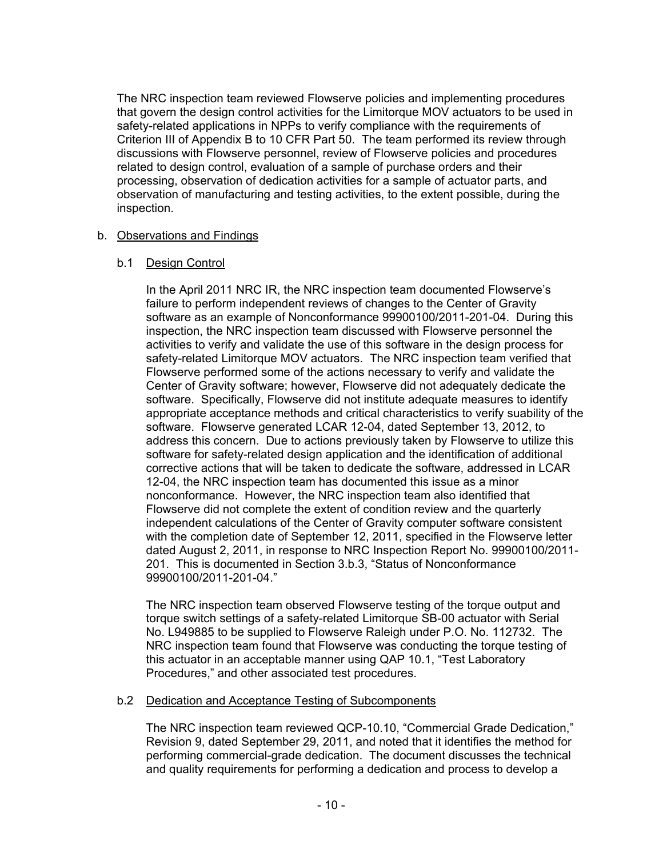The NRC inspection team reviewed Flowserve policies and implementing procedures that govern the design control activities for the Limitorque MOV actuators to be used in safety-related applications in NPPs to verify compliance with the requirements of Criterion III of Appendix B to 10 CFR Part 50. The team performed its review through discussions with Flowserve personnel, review of Flowserve policies and procedures related to design control, evaluation of a sample of purchase orders and their processing, observation of dedication activities for a sample of actuator parts, and observation of manufacturing and testing activities, to the extent possible, during the inspection.

### b. Observations and Findings

### b.1 Design Control

In the April 2011 NRC IR, the NRC inspection team documented Flowserve's failure to perform independent reviews of changes to the Center of Gravity software as an example of Nonconformance 99900100/2011-201-04. During this inspection, the NRC inspection team discussed with Flowserve personnel the activities to verify and validate the use of this software in the design process for safety-related Limitorque MOV actuators. The NRC inspection team verified that Flowserve performed some of the actions necessary to verify and validate the Center of Gravity software; however, Flowserve did not adequately dedicate the software. Specifically, Flowserve did not institute adequate measures to identify appropriate acceptance methods and critical characteristics to verify suability of the software. Flowserve generated LCAR 12-04, dated September 13, 2012, to address this concern. Due to actions previously taken by Flowserve to utilize this software for safety-related design application and the identification of additional corrective actions that will be taken to dedicate the software, addressed in LCAR 12-04, the NRC inspection team has documented this issue as a minor nonconformance. However, the NRC inspection team also identified that Flowserve did not complete the extent of condition review and the quarterly independent calculations of the Center of Gravity computer software consistent with the completion date of September 12, 2011, specified in the Flowserve letter dated August 2, 2011, in response to NRC Inspection Report No. 99900100/2011- 201. This is documented in Section 3.b.3, "Status of Nonconformance 99900100/2011-201-04."

The NRC inspection team observed Flowserve testing of the torque output and torque switch settings of a safety-related Limitorque SB-00 actuator with Serial No. L949885 to be supplied to Flowserve Raleigh under P.O. No. 112732. The NRC inspection team found that Flowserve was conducting the torque testing of this actuator in an acceptable manner using QAP 10.1, "Test Laboratory Procedures," and other associated test procedures.

### b.2 Dedication and Acceptance Testing of Subcomponents

The NRC inspection team reviewed QCP-10.10, "Commercial Grade Dedication," Revision 9, dated September 29, 2011, and noted that it identifies the method for performing commercial-grade dedication. The document discusses the technical and quality requirements for performing a dedication and process to develop a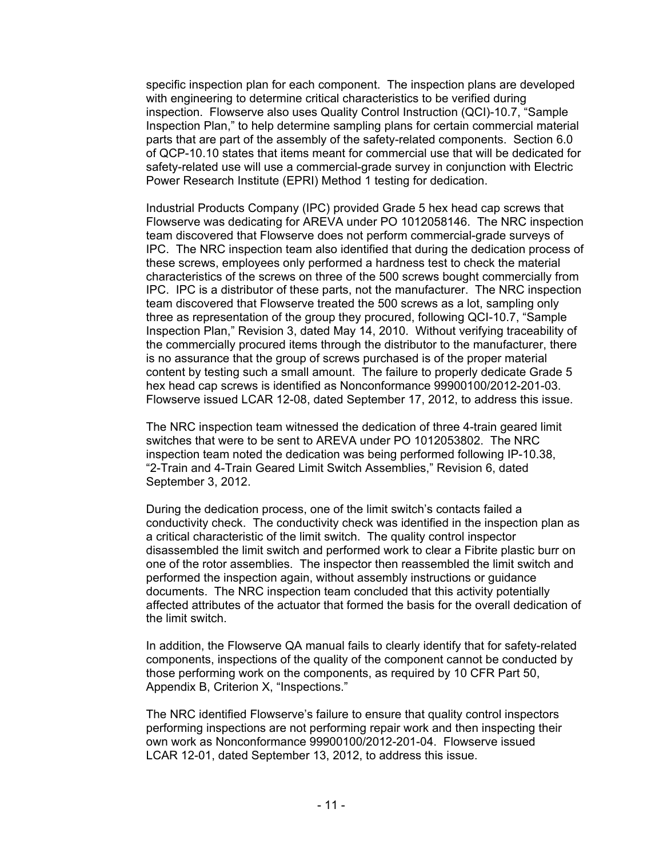specific inspection plan for each component. The inspection plans are developed with engineering to determine critical characteristics to be verified during inspection. Flowserve also uses Quality Control Instruction (QCI)-10.7, "Sample Inspection Plan," to help determine sampling plans for certain commercial material parts that are part of the assembly of the safety-related components. Section 6.0 of QCP-10.10 states that items meant for commercial use that will be dedicated for safety-related use will use a commercial-grade survey in conjunction with Electric Power Research Institute (EPRI) Method 1 testing for dedication.

Industrial Products Company (IPC) provided Grade 5 hex head cap screws that Flowserve was dedicating for AREVA under PO 1012058146. The NRC inspection team discovered that Flowserve does not perform commercial-grade surveys of IPC. The NRC inspection team also identified that during the dedication process of these screws, employees only performed a hardness test to check the material characteristics of the screws on three of the 500 screws bought commercially from IPC. IPC is a distributor of these parts, not the manufacturer. The NRC inspection team discovered that Flowserve treated the 500 screws as a lot, sampling only three as representation of the group they procured, following QCI-10.7, "Sample Inspection Plan," Revision 3, dated May 14, 2010. Without verifying traceability of the commercially procured items through the distributor to the manufacturer, there is no assurance that the group of screws purchased is of the proper material content by testing such a small amount. The failure to properly dedicate Grade 5 hex head cap screws is identified as Nonconformance 99900100/2012-201-03. Flowserve issued LCAR 12-08, dated September 17, 2012, to address this issue.

The NRC inspection team witnessed the dedication of three 4-train geared limit switches that were to be sent to AREVA under PO 1012053802. The NRC inspection team noted the dedication was being performed following IP-10.38, "2-Train and 4-Train Geared Limit Switch Assemblies," Revision 6, dated September 3, 2012.

During the dedication process, one of the limit switch's contacts failed a conductivity check. The conductivity check was identified in the inspection plan as a critical characteristic of the limit switch. The quality control inspector disassembled the limit switch and performed work to clear a Fibrite plastic burr on one of the rotor assemblies. The inspector then reassembled the limit switch and performed the inspection again, without assembly instructions or guidance documents. The NRC inspection team concluded that this activity potentially affected attributes of the actuator that formed the basis for the overall dedication of the limit switch.

In addition, the Flowserve QA manual fails to clearly identify that for safety-related components, inspections of the quality of the component cannot be conducted by those performing work on the components, as required by 10 CFR Part 50, Appendix B, Criterion X, "Inspections."

The NRC identified Flowserve's failure to ensure that quality control inspectors performing inspections are not performing repair work and then inspecting their own work as Nonconformance 99900100/2012-201-04. Flowserve issued LCAR 12-01, dated September 13, 2012, to address this issue.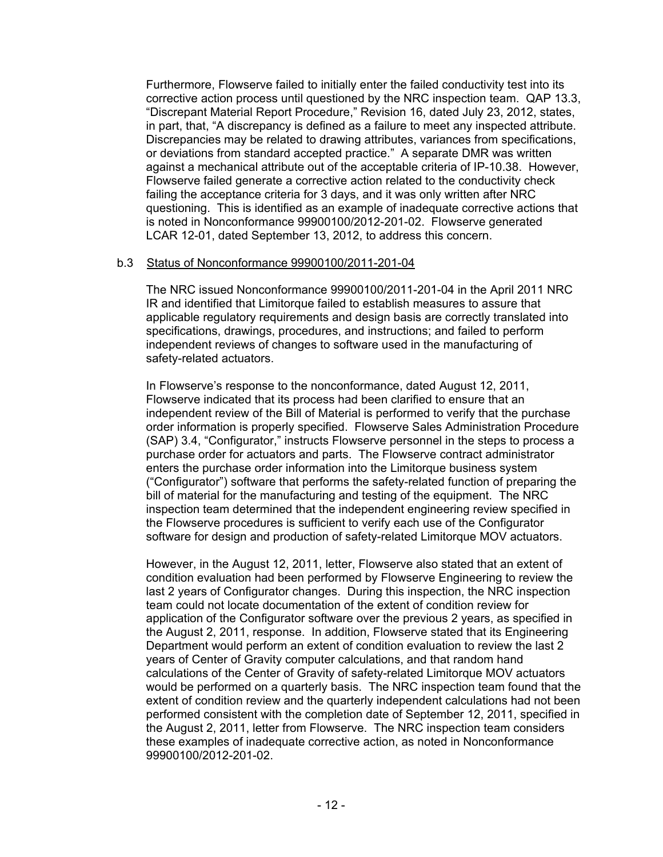Furthermore, Flowserve failed to initially enter the failed conductivity test into its corrective action process until questioned by the NRC inspection team. QAP 13.3, "Discrepant Material Report Procedure," Revision 16, dated July 23, 2012, states, in part, that, "A discrepancy is defined as a failure to meet any inspected attribute. Discrepancies may be related to drawing attributes, variances from specifications, or deviations from standard accepted practice." A separate DMR was written against a mechanical attribute out of the acceptable criteria of IP-10.38. However, Flowserve failed generate a corrective action related to the conductivity check failing the acceptance criteria for 3 days, and it was only written after NRC questioning. This is identified as an example of inadequate corrective actions that is noted in Nonconformance 99900100/2012-201-02. Flowserve generated LCAR 12-01, dated September 13, 2012, to address this concern.

### b.3 Status of Nonconformance 99900100/2011-201-04

The NRC issued Nonconformance 99900100/2011-201-04 in the April 2011 NRC IR and identified that Limitorque failed to establish measures to assure that applicable regulatory requirements and design basis are correctly translated into specifications, drawings, procedures, and instructions; and failed to perform independent reviews of changes to software used in the manufacturing of safety-related actuators.

In Flowserve's response to the nonconformance, dated August 12, 2011, Flowserve indicated that its process had been clarified to ensure that an independent review of the Bill of Material is performed to verify that the purchase order information is properly specified. Flowserve Sales Administration Procedure (SAP) 3.4, "Configurator," instructs Flowserve personnel in the steps to process a purchase order for actuators and parts. The Flowserve contract administrator enters the purchase order information into the Limitorque business system ("Configurator") software that performs the safety-related function of preparing the bill of material for the manufacturing and testing of the equipment. The NRC inspection team determined that the independent engineering review specified in the Flowserve procedures is sufficient to verify each use of the Configurator software for design and production of safety-related Limitorque MOV actuators.

However, in the August 12, 2011, letter, Flowserve also stated that an extent of condition evaluation had been performed by Flowserve Engineering to review the last 2 years of Configurator changes. During this inspection, the NRC inspection team could not locate documentation of the extent of condition review for application of the Configurator software over the previous 2 years, as specified in the August 2, 2011, response. In addition, Flowserve stated that its Engineering Department would perform an extent of condition evaluation to review the last 2 years of Center of Gravity computer calculations, and that random hand calculations of the Center of Gravity of safety-related Limitorque MOV actuators would be performed on a quarterly basis. The NRC inspection team found that the extent of condition review and the quarterly independent calculations had not been performed consistent with the completion date of September 12, 2011, specified in the August 2, 2011, letter from Flowserve. The NRC inspection team considers these examples of inadequate corrective action, as noted in Nonconformance 99900100/2012-201-02.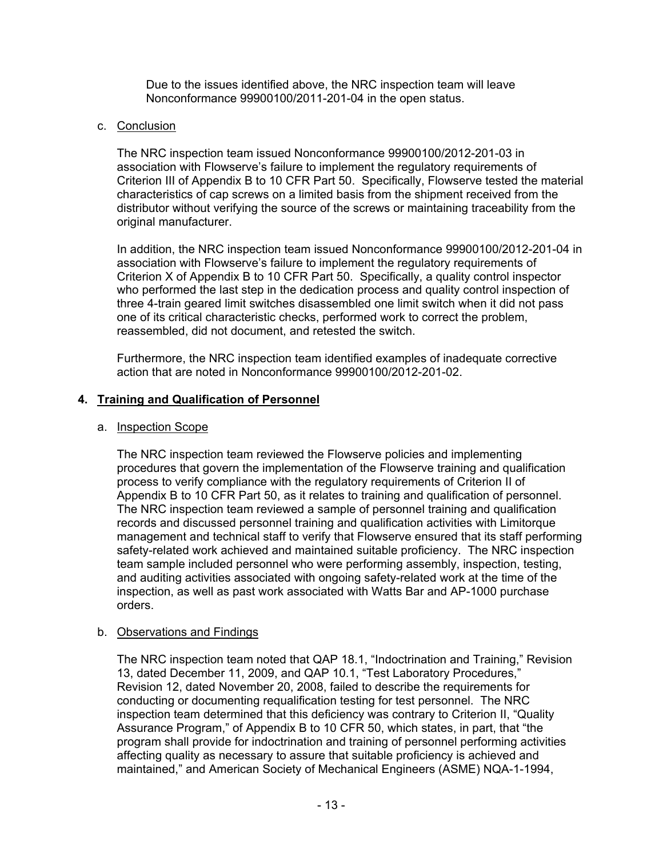Due to the issues identified above, the NRC inspection team will leave Nonconformance 99900100/2011-201-04 in the open status.

### c. Conclusion

The NRC inspection team issued Nonconformance 99900100/2012-201-03 in association with Flowserve's failure to implement the regulatory requirements of Criterion III of Appendix B to 10 CFR Part 50. Specifically, Flowserve tested the material characteristics of cap screws on a limited basis from the shipment received from the distributor without verifying the source of the screws or maintaining traceability from the original manufacturer.

In addition, the NRC inspection team issued Nonconformance 99900100/2012-201-04 in association with Flowserve's failure to implement the regulatory requirements of Criterion X of Appendix B to 10 CFR Part 50. Specifically, a quality control inspector who performed the last step in the dedication process and quality control inspection of three 4-train geared limit switches disassembled one limit switch when it did not pass one of its critical characteristic checks, performed work to correct the problem, reassembled, did not document, and retested the switch.

Furthermore, the NRC inspection team identified examples of inadequate corrective action that are noted in Nonconformance 99900100/2012-201-02.

### **4. Training and Qualification of Personnel**

### a. Inspection Scope

The NRC inspection team reviewed the Flowserve policies and implementing procedures that govern the implementation of the Flowserve training and qualification process to verify compliance with the regulatory requirements of Criterion II of Appendix B to 10 CFR Part 50, as it relates to training and qualification of personnel. The NRC inspection team reviewed a sample of personnel training and qualification records and discussed personnel training and qualification activities with Limitorque management and technical staff to verify that Flowserve ensured that its staff performing safety-related work achieved and maintained suitable proficiency. The NRC inspection team sample included personnel who were performing assembly, inspection, testing, and auditing activities associated with ongoing safety-related work at the time of the inspection, as well as past work associated with Watts Bar and AP-1000 purchase orders.

# b. Observations and Findings

The NRC inspection team noted that QAP 18.1, "Indoctrination and Training," Revision 13, dated December 11, 2009, and QAP 10.1, "Test Laboratory Procedures," Revision 12, dated November 20, 2008, failed to describe the requirements for conducting or documenting requalification testing for test personnel. The NRC inspection team determined that this deficiency was contrary to Criterion II, "Quality Assurance Program," of Appendix B to 10 CFR 50, which states, in part, that "the program shall provide for indoctrination and training of personnel performing activities affecting quality as necessary to assure that suitable proficiency is achieved and maintained," and American Society of Mechanical Engineers (ASME) NQA-1-1994,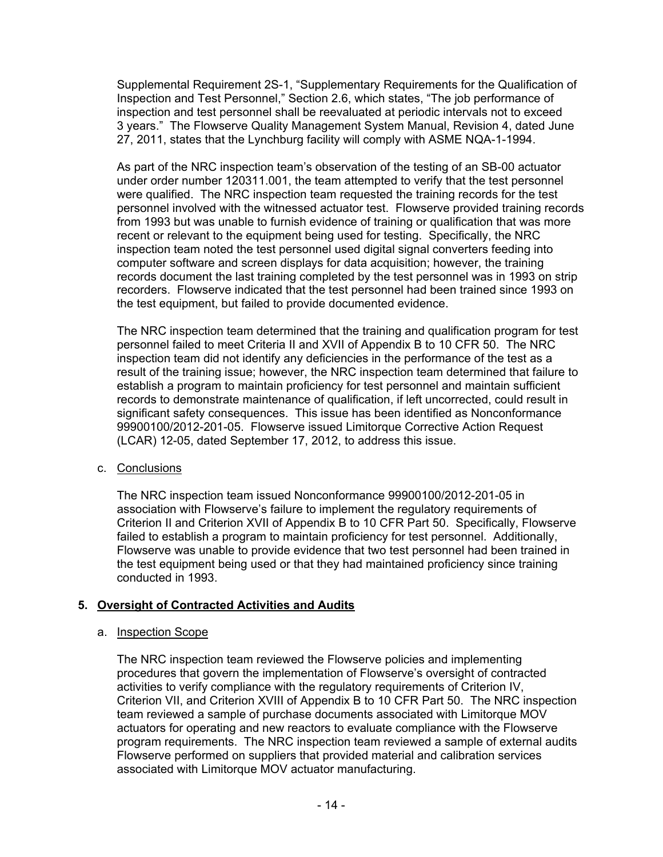Supplemental Requirement 2S-1, "Supplementary Requirements for the Qualification of Inspection and Test Personnel," Section 2.6, which states, "The job performance of inspection and test personnel shall be reevaluated at periodic intervals not to exceed 3 years." The Flowserve Quality Management System Manual, Revision 4, dated June 27, 2011, states that the Lynchburg facility will comply with ASME NQA-1-1994.

As part of the NRC inspection team's observation of the testing of an SB-00 actuator under order number 120311.001, the team attempted to verify that the test personnel were qualified. The NRC inspection team requested the training records for the test personnel involved with the witnessed actuator test. Flowserve provided training records from 1993 but was unable to furnish evidence of training or qualification that was more recent or relevant to the equipment being used for testing. Specifically, the NRC inspection team noted the test personnel used digital signal converters feeding into computer software and screen displays for data acquisition; however, the training records document the last training completed by the test personnel was in 1993 on strip recorders. Flowserve indicated that the test personnel had been trained since 1993 on the test equipment, but failed to provide documented evidence.

The NRC inspection team determined that the training and qualification program for test personnel failed to meet Criteria II and XVII of Appendix B to 10 CFR 50. The NRC inspection team did not identify any deficiencies in the performance of the test as a result of the training issue; however, the NRC inspection team determined that failure to establish a program to maintain proficiency for test personnel and maintain sufficient records to demonstrate maintenance of qualification, if left uncorrected, could result in significant safety consequences. This issue has been identified as Nonconformance 99900100/2012-201-05. Flowserve issued Limitorque Corrective Action Request (LCAR) 12-05, dated September 17, 2012, to address this issue.

c. Conclusions

The NRC inspection team issued Nonconformance 99900100/2012-201-05 in association with Flowserve's failure to implement the regulatory requirements of Criterion II and Criterion XVII of Appendix B to 10 CFR Part 50. Specifically, Flowserve failed to establish a program to maintain proficiency for test personnel. Additionally, Flowserve was unable to provide evidence that two test personnel had been trained in the test equipment being used or that they had maintained proficiency since training conducted in 1993.

# **5. Oversight of Contracted Activities and Audits**

# a. Inspection Scope

The NRC inspection team reviewed the Flowserve policies and implementing procedures that govern the implementation of Flowserve's oversight of contracted activities to verify compliance with the regulatory requirements of Criterion IV, Criterion VII, and Criterion XVIII of Appendix B to 10 CFR Part 50. The NRC inspection team reviewed a sample of purchase documents associated with Limitorque MOV actuators for operating and new reactors to evaluate compliance with the Flowserve program requirements. The NRC inspection team reviewed a sample of external audits Flowserve performed on suppliers that provided material and calibration services associated with Limitorque MOV actuator manufacturing.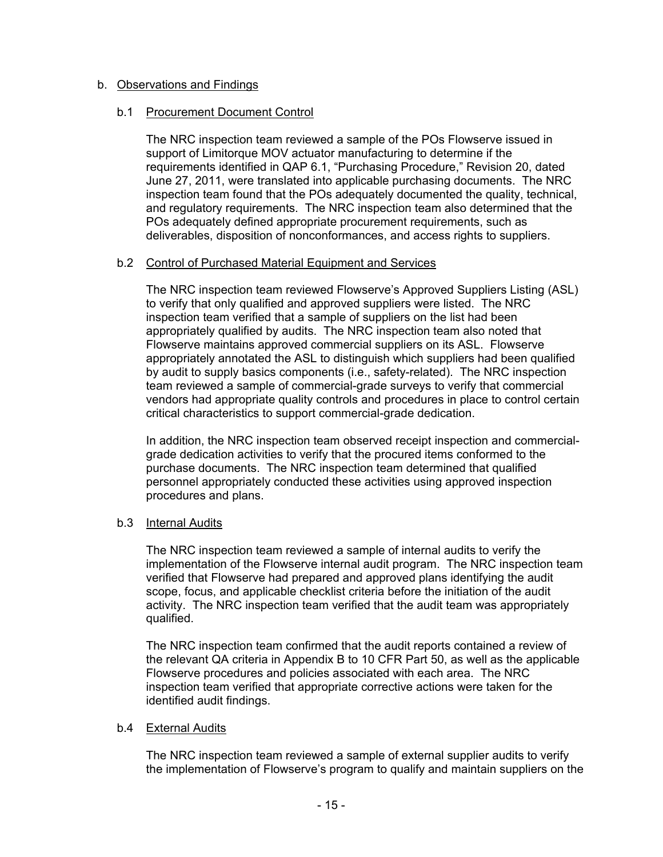### b. Observations and Findings

### b.1 Procurement Document Control

 The NRC inspection team reviewed a sample of the POs Flowserve issued in support of Limitorque MOV actuator manufacturing to determine if the requirements identified in QAP 6.1, "Purchasing Procedure," Revision 20, dated June 27, 2011, were translated into applicable purchasing documents. The NRC inspection team found that the POs adequately documented the quality, technical, and regulatory requirements. The NRC inspection team also determined that the POs adequately defined appropriate procurement requirements, such as deliverables, disposition of nonconformances, and access rights to suppliers.

### b.2 Control of Purchased Material Equipment and Services

The NRC inspection team reviewed Flowserve's Approved Suppliers Listing (ASL) to verify that only qualified and approved suppliers were listed. The NRC inspection team verified that a sample of suppliers on the list had been appropriately qualified by audits. The NRC inspection team also noted that Flowserve maintains approved commercial suppliers on its ASL. Flowserve appropriately annotated the ASL to distinguish which suppliers had been qualified by audit to supply basics components (i.e., safety-related). The NRC inspection team reviewed a sample of commercial-grade surveys to verify that commercial vendors had appropriate quality controls and procedures in place to control certain critical characteristics to support commercial-grade dedication.

In addition, the NRC inspection team observed receipt inspection and commercialgrade dedication activities to verify that the procured items conformed to the purchase documents. The NRC inspection team determined that qualified personnel appropriately conducted these activities using approved inspection procedures and plans.

# b.3 Internal Audits

The NRC inspection team reviewed a sample of internal audits to verify the implementation of the Flowserve internal audit program. The NRC inspection team verified that Flowserve had prepared and approved plans identifying the audit scope, focus, and applicable checklist criteria before the initiation of the audit activity. The NRC inspection team verified that the audit team was appropriately qualified.

The NRC inspection team confirmed that the audit reports contained a review of the relevant QA criteria in Appendix B to 10 CFR Part 50, as well as the applicable Flowserve procedures and policies associated with each area. The NRC inspection team verified that appropriate corrective actions were taken for the identified audit findings.

# b.4 External Audits

The NRC inspection team reviewed a sample of external supplier audits to verify the implementation of Flowserve's program to qualify and maintain suppliers on the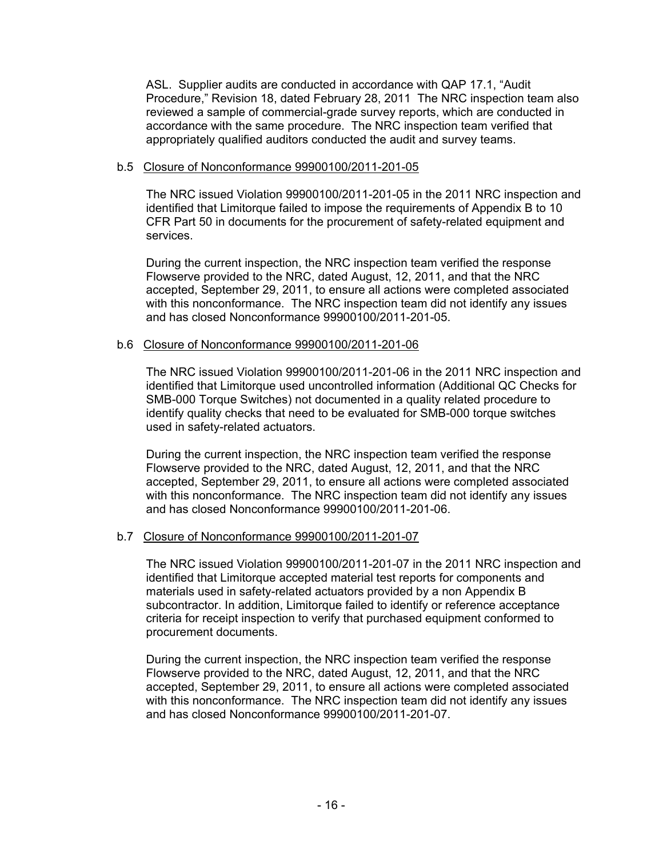ASL. Supplier audits are conducted in accordance with QAP 17.1, "Audit Procedure," Revision 18, dated February 28, 2011 The NRC inspection team also reviewed a sample of commercial-grade survey reports, which are conducted in accordance with the same procedure. The NRC inspection team verified that appropriately qualified auditors conducted the audit and survey teams.

### b.5 Closure of Nonconformance 99900100/2011-201-05

The NRC issued Violation 99900100/2011-201-05 in the 2011 NRC inspection and identified that Limitorque failed to impose the requirements of Appendix B to 10 CFR Part 50 in documents for the procurement of safety-related equipment and services.

During the current inspection, the NRC inspection team verified the response Flowserve provided to the NRC, dated August, 12, 2011, and that the NRC accepted, September 29, 2011, to ensure all actions were completed associated with this nonconformance. The NRC inspection team did not identify any issues and has closed Nonconformance 99900100/2011-201-05.

### b.6 Closure of Nonconformance 99900100/2011-201-06

The NRC issued Violation 99900100/2011-201-06 in the 2011 NRC inspection and identified that Limitorque used uncontrolled information (Additional QC Checks for SMB-000 Torque Switches) not documented in a quality related procedure to identify quality checks that need to be evaluated for SMB-000 torque switches used in safety-related actuators.

During the current inspection, the NRC inspection team verified the response Flowserve provided to the NRC, dated August, 12, 2011, and that the NRC accepted, September 29, 2011, to ensure all actions were completed associated with this nonconformance. The NRC inspection team did not identify any issues and has closed Nonconformance 99900100/2011-201-06.

### b.7 Closure of Nonconformance 99900100/2011-201-07

The NRC issued Violation 99900100/2011-201-07 in the 2011 NRC inspection and identified that Limitorque accepted material test reports for components and materials used in safety-related actuators provided by a non Appendix B subcontractor. In addition, Limitorque failed to identify or reference acceptance criteria for receipt inspection to verify that purchased equipment conformed to procurement documents.

During the current inspection, the NRC inspection team verified the response Flowserve provided to the NRC, dated August, 12, 2011, and that the NRC accepted, September 29, 2011, to ensure all actions were completed associated with this nonconformance. The NRC inspection team did not identify any issues and has closed Nonconformance 99900100/2011-201-07.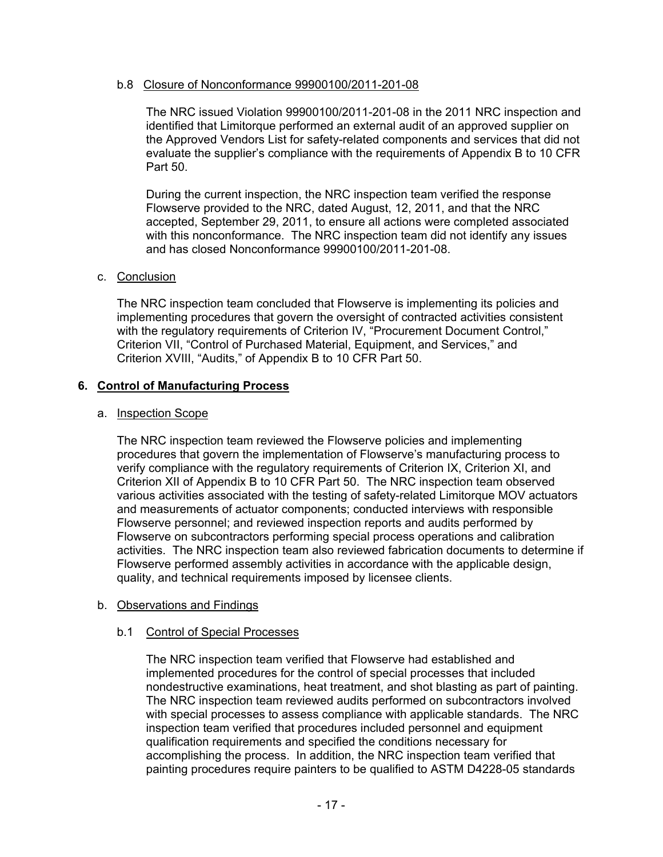### b.8 Closure of Nonconformance 99900100/2011-201-08

The NRC issued Violation 99900100/2011-201-08 in the 2011 NRC inspection and identified that Limitorque performed an external audit of an approved supplier on the Approved Vendors List for safety-related components and services that did not evaluate the supplier's compliance with the requirements of Appendix B to 10 CFR Part 50.

During the current inspection, the NRC inspection team verified the response Flowserve provided to the NRC, dated August, 12, 2011, and that the NRC accepted, September 29, 2011, to ensure all actions were completed associated with this nonconformance. The NRC inspection team did not identify any issues and has closed Nonconformance 99900100/2011-201-08.

### c. Conclusion

The NRC inspection team concluded that Flowserve is implementing its policies and implementing procedures that govern the oversight of contracted activities consistent with the regulatory requirements of Criterion IV, "Procurement Document Control," Criterion VII, "Control of Purchased Material, Equipment, and Services," and Criterion XVIII, "Audits," of Appendix B to 10 CFR Part 50.

### **6. Control of Manufacturing Process**

### a. Inspection Scope

The NRC inspection team reviewed the Flowserve policies and implementing procedures that govern the implementation of Flowserve's manufacturing process to verify compliance with the regulatory requirements of Criterion IX, Criterion XI, and Criterion XII of Appendix B to 10 CFR Part 50. The NRC inspection team observed various activities associated with the testing of safety-related Limitorque MOV actuators and measurements of actuator components; conducted interviews with responsible Flowserve personnel; and reviewed inspection reports and audits performed by Flowserve on subcontractors performing special process operations and calibration activities. The NRC inspection team also reviewed fabrication documents to determine if Flowserve performed assembly activities in accordance with the applicable design, quality, and technical requirements imposed by licensee clients.

### b. Observations and Findings

#### b.1 Control of Special Processes

The NRC inspection team verified that Flowserve had established and implemented procedures for the control of special processes that included nondestructive examinations, heat treatment, and shot blasting as part of painting. The NRC inspection team reviewed audits performed on subcontractors involved with special processes to assess compliance with applicable standards. The NRC inspection team verified that procedures included personnel and equipment qualification requirements and specified the conditions necessary for accomplishing the process. In addition, the NRC inspection team verified that painting procedures require painters to be qualified to ASTM D4228-05 standards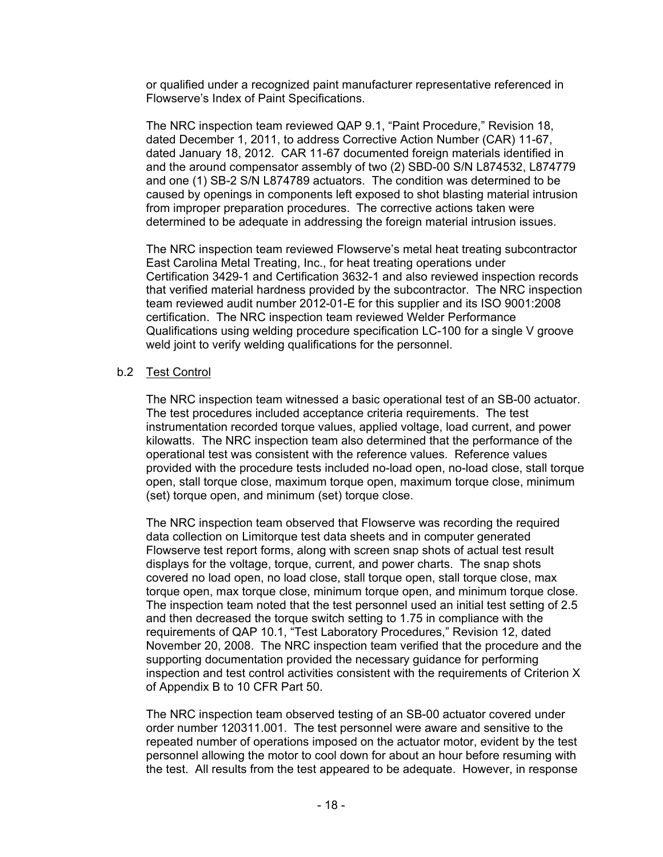or qualified under a recognized paint manufacturer representative referenced in Flowserve's Index of Paint Specifications.

The NRC inspection team reviewed QAP 9.1, "Paint Procedure," Revision 18, dated December 1, 2011, to address Corrective Action Number (CAR) 11-67, dated January 18, 2012. CAR 11-67 documented foreign materials identified in and the around compensator assembly of two (2) SBD-00 S/N L874532, L874779 and one (1) SB-2 S/N L874789 actuators. The condition was determined to be caused by openings in components left exposed to shot blasting material intrusion from improper preparation procedures. The corrective actions taken were determined to be adequate in addressing the foreign material intrusion issues.

The NRC inspection team reviewed Flowserve's metal heat treating subcontractor East Carolina Metal Treating, Inc., for heat treating operations under Certification 3429-1 and Certification 3632-1 and also reviewed inspection records that verified material hardness provided by the subcontractor. The NRC inspection team reviewed audit number 2012-01-E for this supplier and its ISO 9001:2008 certification. The NRC inspection team reviewed Welder Performance Qualifications using welding procedure specification LC-100 for a single V groove weld joint to verify welding qualifications for the personnel.

### b.2 Test Control

The NRC inspection team witnessed a basic operational test of an SB-00 actuator. The test procedures included acceptance criteria requirements. The test instrumentation recorded torque values, applied voltage, load current, and power kilowatts. The NRC inspection team also determined that the performance of the operational test was consistent with the reference values. Reference values provided with the procedure tests included no-load open, no-load close, stall torque open, stall torque close, maximum torque open, maximum torque close, minimum (set) torque open, and minimum (set) torque close.

The NRC inspection team observed that Flowserve was recording the required data collection on Limitorque test data sheets and in computer generated Flowserve test report forms, along with screen snap shots of actual test result displays for the voltage, torque, current, and power charts. The snap shots covered no load open, no load close, stall torque open, stall torque close, max torque open, max torque close, minimum torque open, and minimum torque close. The inspection team noted that the test personnel used an initial test setting of 2.5 and then decreased the torque switch setting to 1.75 in compliance with the requirements of QAP 10.1, "Test Laboratory Procedures," Revision 12, dated November 20, 2008. The NRC inspection team verified that the procedure and the supporting documentation provided the necessary guidance for performing inspection and test control activities consistent with the requirements of Criterion X of Appendix B to 10 CFR Part 50.

The NRC inspection team observed testing of an SB-00 actuator covered under order number 120311.001. The test personnel were aware and sensitive to the repeated number of operations imposed on the actuator motor, evident by the test personnel allowing the motor to cool down for about an hour before resuming with the test. All results from the test appeared to be adequate. However, in response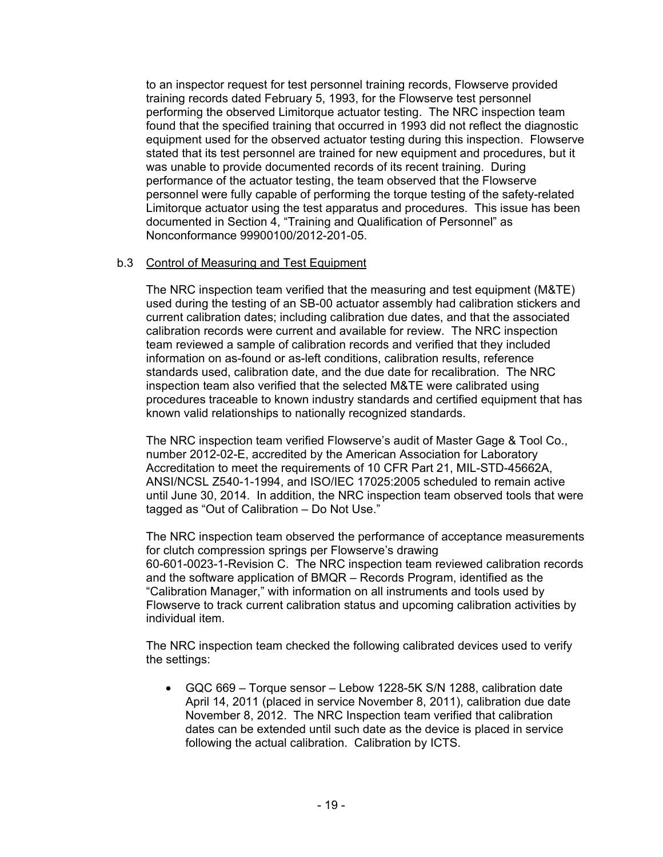to an inspector request for test personnel training records, Flowserve provided training records dated February 5, 1993, for the Flowserve test personnel performing the observed Limitorque actuator testing. The NRC inspection team found that the specified training that occurred in 1993 did not reflect the diagnostic equipment used for the observed actuator testing during this inspection. Flowserve stated that its test personnel are trained for new equipment and procedures, but it was unable to provide documented records of its recent training. During performance of the actuator testing, the team observed that the Flowserve personnel were fully capable of performing the torque testing of the safety-related Limitorque actuator using the test apparatus and procedures. This issue has been documented in Section 4, "Training and Qualification of Personnel" as Nonconformance 99900100/2012-201-05.

### b.3 Control of Measuring and Test Equipment

The NRC inspection team verified that the measuring and test equipment (M&TE) used during the testing of an SB-00 actuator assembly had calibration stickers and current calibration dates; including calibration due dates, and that the associated calibration records were current and available for review. The NRC inspection team reviewed a sample of calibration records and verified that they included information on as-found or as-left conditions, calibration results, reference standards used, calibration date, and the due date for recalibration. The NRC inspection team also verified that the selected M&TE were calibrated using procedures traceable to known industry standards and certified equipment that has known valid relationships to nationally recognized standards.

The NRC inspection team verified Flowserve's audit of Master Gage & Tool Co., number 2012-02-E, accredited by the American Association for Laboratory Accreditation to meet the requirements of 10 CFR Part 21, MIL-STD-45662A, ANSI/NCSL Z540-1-1994, and ISO/IEC 17025:2005 scheduled to remain active until June 30, 2014. In addition, the NRC inspection team observed tools that were tagged as "Out of Calibration – Do Not Use."

The NRC inspection team observed the performance of acceptance measurements for clutch compression springs per Flowserve's drawing 60-601-0023-1-Revision C. The NRC inspection team reviewed calibration records and the software application of BMQR – Records Program, identified as the "Calibration Manager," with information on all instruments and tools used by Flowserve to track current calibration status and upcoming calibration activities by individual item.

The NRC inspection team checked the following calibrated devices used to verify the settings:

• GQC 669 – Torque sensor – Lebow 1228-5K S/N 1288, calibration date April 14, 2011 (placed in service November 8, 2011), calibration due date November 8, 2012. The NRC Inspection team verified that calibration dates can be extended until such date as the device is placed in service following the actual calibration. Calibration by ICTS.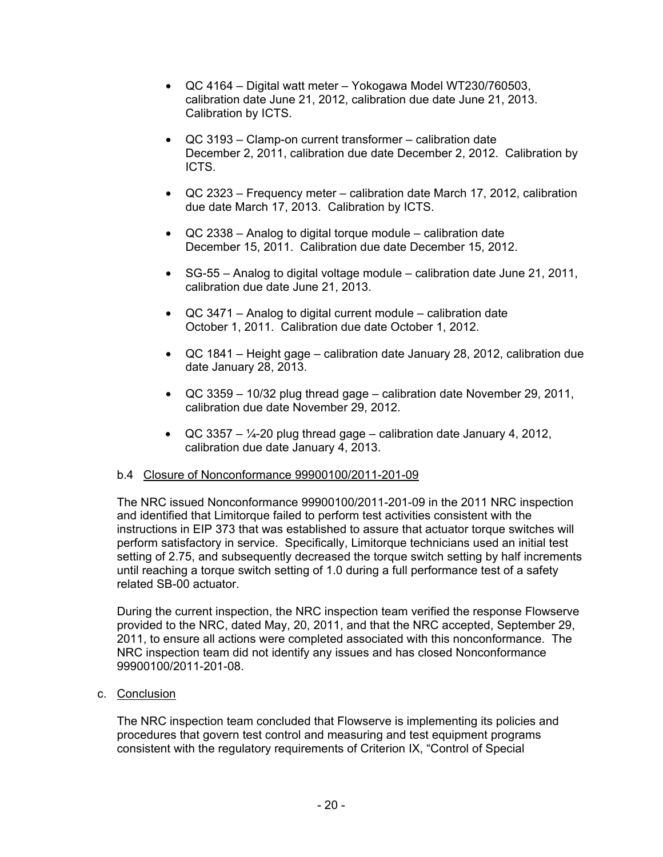- QC 4164 Digital watt meter Yokogawa Model WT230/760503, calibration date June 21, 2012, calibration due date June 21, 2013. Calibration by ICTS.
- QC 3193 Clamp-on current transformer calibration date December 2, 2011, calibration due date December 2, 2012. Calibration by ICTS.
- QC 2323 Frequency meter calibration date March 17, 2012, calibration due date March 17, 2013. Calibration by ICTS.
- QC 2338 Analog to digital torque module calibration date December 15, 2011. Calibration due date December 15, 2012.
- SG-55 Analog to digital voltage module calibration date June 21, 2011, calibration due date June 21, 2013.
- QC 3471 Analog to digital current module calibration date October 1, 2011. Calibration due date October 1, 2012.
- QC 1841 Height gage calibration date January 28, 2012, calibration due date January 28, 2013.
- QC 3359 10/32 plug thread gage calibration date November 29, 2011, calibration due date November 29, 2012.
- QC 3357  $\frac{1}{4}$ -20 plug thread gage calibration date January 4, 2012, calibration due date January 4, 2013.

# b.4 Closure of Nonconformance 99900100/2011-201-09

The NRC issued Nonconformance 99900100/2011-201-09 in the 2011 NRC inspection and identified that Limitorque failed to perform test activities consistent with the instructions in EIP 373 that was established to assure that actuator torque switches will perform satisfactory in service. Specifically, Limitorque technicians used an initial test setting of 2.75, and subsequently decreased the torque switch setting by half increments until reaching a torque switch setting of 1.0 during a full performance test of a safety related SB-00 actuator.

During the current inspection, the NRC inspection team verified the response Flowserve provided to the NRC, dated May, 20, 2011, and that the NRC accepted, September 29, 2011, to ensure all actions were completed associated with this nonconformance. The NRC inspection team did not identify any issues and has closed Nonconformance 99900100/2011-201-08.

c. Conclusion

The NRC inspection team concluded that Flowserve is implementing its policies and procedures that govern test control and measuring and test equipment programs consistent with the regulatory requirements of Criterion IX, "Control of Special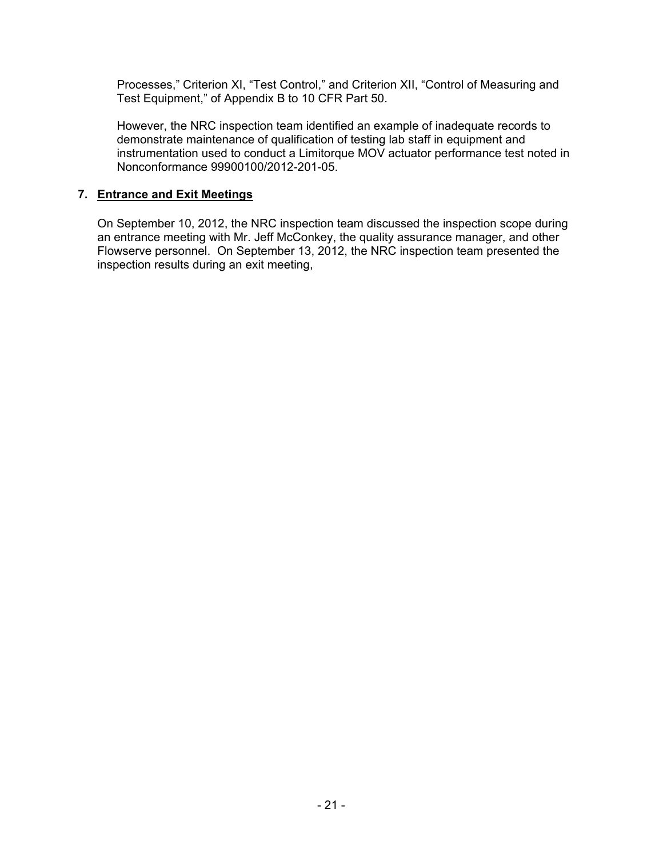Processes," Criterion XI, "Test Control," and Criterion XII, "Control of Measuring and Test Equipment," of Appendix B to 10 CFR Part 50.

However, the NRC inspection team identified an example of inadequate records to demonstrate maintenance of qualification of testing lab staff in equipment and instrumentation used to conduct a Limitorque MOV actuator performance test noted in Nonconformance 99900100/2012-201-05.

### **7. Entrance and Exit Meetings**

On September 10, 2012, the NRC inspection team discussed the inspection scope during an entrance meeting with Mr. Jeff McConkey, the quality assurance manager, and other Flowserve personnel. On September 13, 2012, the NRC inspection team presented the inspection results during an exit meeting,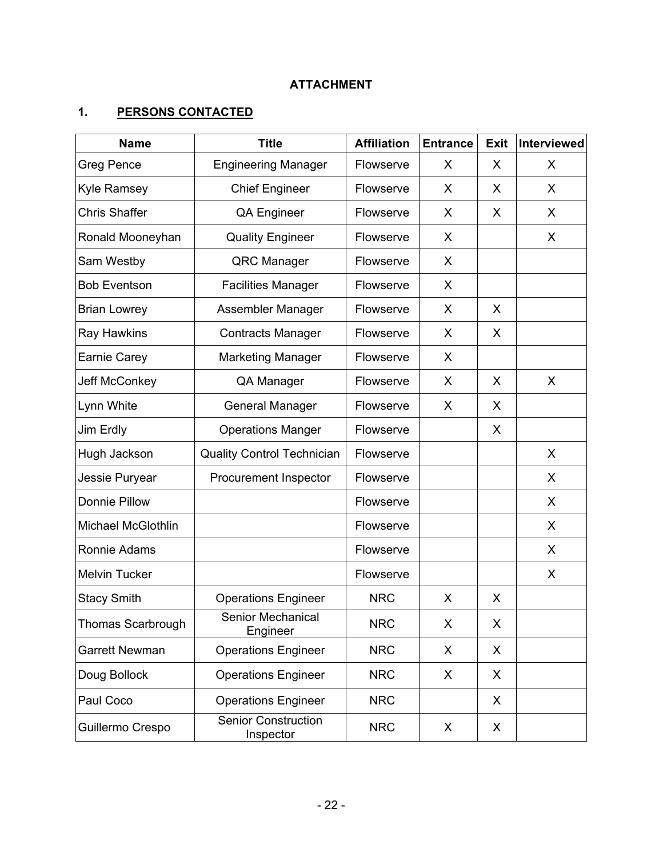# **ATTACHMENT**

# **1. PERSONS CONTACTED**

| <b>Name</b>               | <b>Title</b>                            | <b>Affiliation</b> | <b>Entrance</b> | <b>Exit</b> | Interviewed |
|---------------------------|-----------------------------------------|--------------------|-----------------|-------------|-------------|
| <b>Greg Pence</b>         | <b>Engineering Manager</b>              | Flowserve          | X               | X           | X           |
| <b>Kyle Ramsey</b>        | <b>Chief Engineer</b>                   | Flowserve          | X               | X           | X           |
| <b>Chris Shaffer</b>      | <b>QA Engineer</b>                      | Flowserve          | X               | X           | X           |
| Ronald Mooneyhan          | <b>Quality Engineer</b>                 | Flowserve          | X               |             | X           |
| Sam Westby                | <b>QRC Manager</b>                      | Flowserve          | X               |             |             |
| <b>Bob Eventson</b>       | <b>Facilities Manager</b>               | Flowserve          | X               |             |             |
| <b>Brian Lowrey</b>       | Assembler Manager                       | Flowserve          | X               | X           |             |
| Ray Hawkins               | <b>Contracts Manager</b>                | Flowserve          | X               | X           |             |
| Earnie Carey              | <b>Marketing Manager</b>                | Flowserve          | X               |             |             |
| Jeff McConkey             | QA Manager                              | Flowserve          | X               | X           | X           |
| Lynn White                | <b>General Manager</b>                  | Flowserve          | X               | X           |             |
| Jim Erdly                 | <b>Operations Manger</b>                | Flowserve          |                 | X           |             |
| Hugh Jackson              | <b>Quality Control Technician</b>       | Flowserve          |                 |             | X           |
| Jessie Puryear            | Procurement Inspector                   | Flowserve          |                 |             | X           |
| Donnie Pillow             |                                         | Flowserve          |                 |             | X           |
| <b>Michael McGlothlin</b> |                                         | Flowserve          |                 |             | X           |
| Ronnie Adams              |                                         | Flowserve          |                 |             | X           |
| Melvin Tucker             |                                         | Flowserve          |                 |             | X           |
| <b>Stacy Smith</b>        | <b>Operations Engineer</b>              | <b>NRC</b>         | X               | X           |             |
| Thomas Scarbrough         | Senior Mechanical<br>Engineer           | <b>NRC</b>         | X               | X           |             |
| <b>Garrett Newman</b>     | <b>Operations Engineer</b>              | <b>NRC</b>         | X               | X           |             |
| Doug Bollock              | <b>Operations Engineer</b>              | <b>NRC</b>         | X               | X           |             |
| Paul Coco                 | <b>Operations Engineer</b>              | <b>NRC</b>         |                 | X           |             |
| Guillermo Crespo          | <b>Senior Construction</b><br>Inspector | <b>NRC</b>         | X               | X           |             |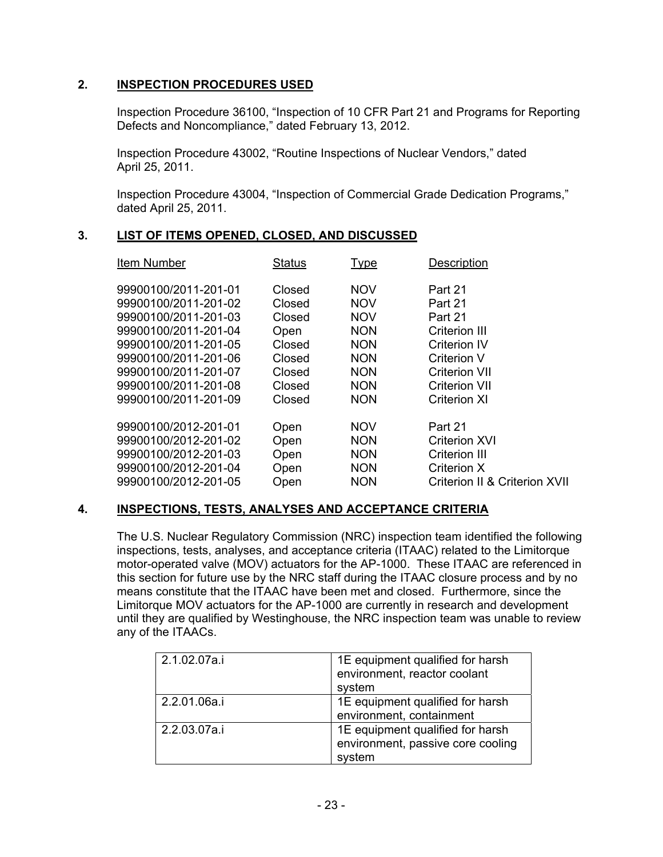### **2. INSPECTION PROCEDURES USED**

Inspection Procedure 36100, "Inspection of 10 CFR Part 21 and Programs for Reporting Defects and Noncompliance," dated February 13, 2012.

Inspection Procedure 43002, "Routine Inspections of Nuclear Vendors," dated April 25, 2011.

Inspection Procedure 43004, "Inspection of Commercial Grade Dedication Programs," dated April 25, 2011.

### **3. LIST OF ITEMS OPENED, CLOSED, AND DISCUSSED**

| Item Number          | <b>Status</b> | <u>Type</u> | Description                   |
|----------------------|---------------|-------------|-------------------------------|
| 99900100/2011-201-01 | Closed        | <b>NOV</b>  | Part 21                       |
| 99900100/2011-201-02 | Closed        | <b>NOV</b>  | Part 21                       |
| 99900100/2011-201-03 | Closed        | <b>NOV</b>  | Part 21                       |
| 99900100/2011-201-04 | Open          | <b>NON</b>  | Criterion III                 |
| 99900100/2011-201-05 | Closed        | <b>NON</b>  | <b>Criterion IV</b>           |
| 99900100/2011-201-06 | Closed        | <b>NON</b>  | Criterion V                   |
| 99900100/2011-201-07 | Closed        | <b>NON</b>  | <b>Criterion VII</b>          |
| 99900100/2011-201-08 | Closed        | <b>NON</b>  | <b>Criterion VII</b>          |
| 99900100/2011-201-09 | Closed        | <b>NON</b>  | <b>Criterion XI</b>           |
| 99900100/2012-201-01 | Open          | <b>NOV</b>  | Part 21                       |
| 99900100/2012-201-02 | Open          | <b>NON</b>  | Criterion XVI                 |
| 99900100/2012-201-03 | Open          | <b>NON</b>  | <b>Criterion III</b>          |
| 99900100/2012-201-04 | Open          | <b>NON</b>  | Criterion X                   |
| 99900100/2012-201-05 | Open          | <b>NON</b>  | Criterion II & Criterion XVII |

### **4. INSPECTIONS, TESTS, ANALYSES AND ACCEPTANCE CRITERIA**

The U.S. Nuclear Regulatory Commission (NRC) inspection team identified the following inspections, tests, analyses, and acceptance criteria (ITAAC) related to the Limitorque motor-operated valve (MOV) actuators for the AP-1000. These ITAAC are referenced in this section for future use by the NRC staff during the ITAAC closure process and by no means constitute that the ITAAC have been met and closed. Furthermore, since the Limitorque MOV actuators for the AP-1000 are currently in research and development until they are qualified by Westinghouse, the NRC inspection team was unable to review any of the ITAACs.

| 2.1.02.07a.i | 1E equipment qualified for harsh<br>environment, reactor coolant<br>system      |
|--------------|---------------------------------------------------------------------------------|
| 2.2.01.06a.i | 1E equipment qualified for harsh<br>environment, containment                    |
| 2.2.03.07a.i | 1E equipment qualified for harsh<br>environment, passive core cooling<br>system |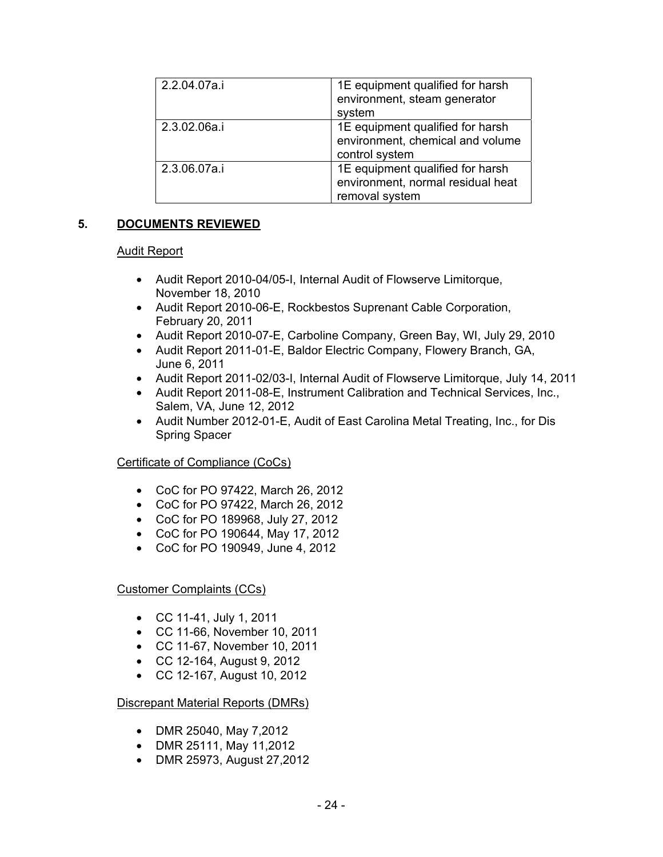| 2.2.04.07a.i | 1E equipment qualified for harsh<br>environment, steam generator<br>system              |
|--------------|-----------------------------------------------------------------------------------------|
| 2.3.02.06a.i | 1E equipment qualified for harsh<br>environment, chemical and volume<br>control system  |
| 2.3.06.07a.i | 1E equipment qualified for harsh<br>environment, normal residual heat<br>removal system |

# **5. DOCUMENTS REVIEWED**

### Audit Report

- Audit Report 2010-04/05-I, Internal Audit of Flowserve Limitorque, November 18, 2010
- Audit Report 2010-06-E, Rockbestos Suprenant Cable Corporation, February 20, 2011
- Audit Report 2010-07-E, Carboline Company, Green Bay, WI, July 29, 2010
- Audit Report 2011-01-E, Baldor Electric Company, Flowery Branch, GA, June 6, 2011
- Audit Report 2011-02/03-I, Internal Audit of Flowserve Limitorque, July 14, 2011
- Audit Report 2011-08-E, Instrument Calibration and Technical Services, Inc., Salem, VA, June 12, 2012
- Audit Number 2012-01-E, Audit of East Carolina Metal Treating, Inc., for Dis Spring Spacer

# Certificate of Compliance (CoCs)

- CoC for PO 97422, March 26, 2012
- CoC for PO 97422, March 26, 2012
- CoC for PO 189968, July 27, 2012
- CoC for PO 190644, May 17, 2012
- CoC for PO 190949, June 4, 2012

Customer Complaints (CCs)

- CC 11-41, July 1, 2011
- CC 11-66, November 10, 2011
- CC 11-67, November 10, 2011
- CC 12-164, August 9, 2012
- CC 12-167, August 10, 2012

Discrepant Material Reports (DMRs)

- DMR 25040, May 7,2012
- DMR 25111, May 11,2012
- DMR 25973, August 27,2012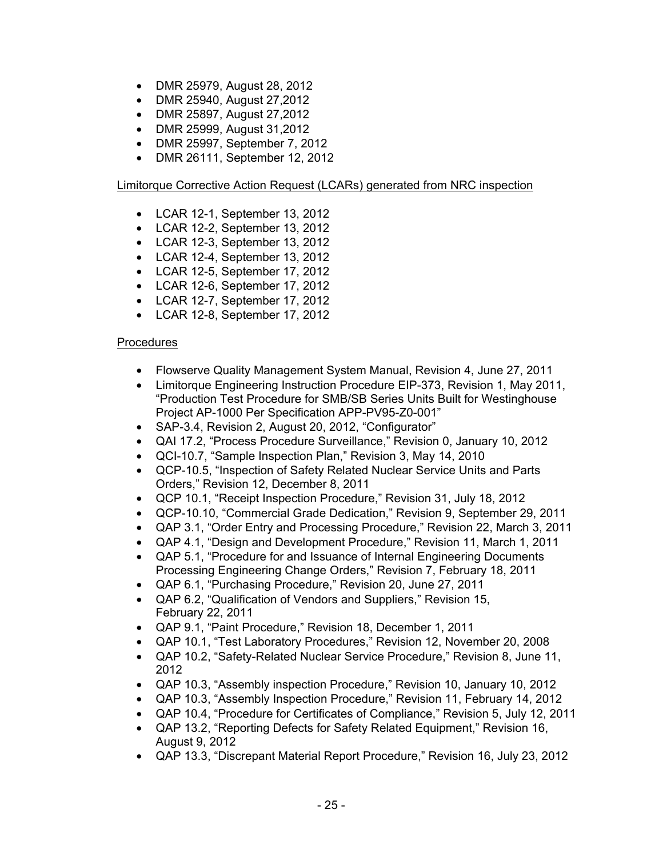- DMR 25979, August 28, 2012
- DMR 25940, August 27,2012
- DMR 25897, August 27,2012
- DMR 25999, August 31,2012
- DMR 25997, September 7, 2012
- DMR 26111, September 12, 2012

### Limitorque Corrective Action Request (LCARs) generated from NRC inspection

- LCAR 12-1, September 13, 2012
- LCAR 12-2, September 13, 2012
- LCAR 12-3, September 13, 2012
- LCAR 12-4, September 13, 2012
- LCAR 12-5, September 17, 2012
- LCAR 12-6, September 17, 2012
- LCAR 12-7, September 17, 2012
- LCAR 12-8, September 17, 2012

### Procedures

- Flowserve Quality Management System Manual, Revision 4, June 27, 2011
- Limitorque Engineering Instruction Procedure EIP-373, Revision 1, May 2011, "Production Test Procedure for SMB/SB Series Units Built for Westinghouse Project AP-1000 Per Specification APP-PV95-Z0-001"
- SAP-3.4, Revision 2, August 20, 2012, "Configurator"
- QAI 17.2, "Process Procedure Surveillance," Revision 0, January 10, 2012
- QCI-10.7, "Sample Inspection Plan," Revision 3, May 14, 2010
- QCP-10.5, "Inspection of Safety Related Nuclear Service Units and Parts Orders," Revision 12, December 8, 2011
- QCP 10.1, "Receipt Inspection Procedure," Revision 31, July 18, 2012
- QCP-10.10, "Commercial Grade Dedication," Revision 9, September 29, 2011
- QAP 3.1, "Order Entry and Processing Procedure," Revision 22, March 3, 2011
- QAP 4.1, "Design and Development Procedure," Revision 11, March 1, 2011
- QAP 5.1, "Procedure for and Issuance of Internal Engineering Documents Processing Engineering Change Orders," Revision 7, February 18, 2011
- QAP 6.1, "Purchasing Procedure," Revision 20, June 27, 2011
- QAP 6.2, "Qualification of Vendors and Suppliers," Revision 15, February 22, 2011
- QAP 9.1, "Paint Procedure," Revision 18, December 1, 2011
- QAP 10.1, "Test Laboratory Procedures," Revision 12, November 20, 2008
- QAP 10.2, "Safety-Related Nuclear Service Procedure," Revision 8, June 11, 2012
- QAP 10.3, "Assembly inspection Procedure," Revision 10, January 10, 2012
- QAP 10.3, "Assembly Inspection Procedure," Revision 11, February 14, 2012
- QAP 10.4, "Procedure for Certificates of Compliance," Revision 5, July 12, 2011
- QAP 13.2, "Reporting Defects for Safety Related Equipment," Revision 16, August 9, 2012
- QAP 13.3, "Discrepant Material Report Procedure," Revision 16, July 23, 2012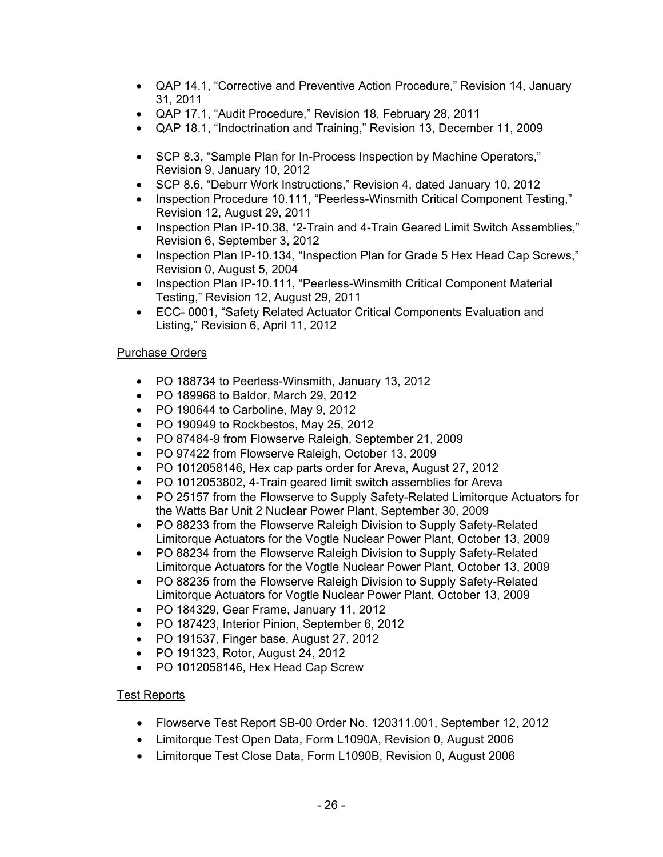- QAP 14.1, "Corrective and Preventive Action Procedure," Revision 14, January 31, 2011
- QAP 17.1, "Audit Procedure," Revision 18, February 28, 2011
- QAP 18.1, "Indoctrination and Training," Revision 13, December 11, 2009
- SCP 8.3, "Sample Plan for In-Process Inspection by Machine Operators," Revision 9, January 10, 2012
- SCP 8.6, "Deburr Work Instructions," Revision 4, dated January 10, 2012
- Inspection Procedure 10.111, "Peerless-Winsmith Critical Component Testing," Revision 12, August 29, 2011
- Inspection Plan IP-10.38, "2-Train and 4-Train Geared Limit Switch Assemblies," Revision 6, September 3, 2012
- Inspection Plan IP-10.134, "Inspection Plan for Grade 5 Hex Head Cap Screws," Revision 0, August 5, 2004
- Inspection Plan IP-10.111, "Peerless-Winsmith Critical Component Material Testing," Revision 12, August 29, 2011
- ECC- 0001, "Safety Related Actuator Critical Components Evaluation and Listing," Revision 6, April 11, 2012

### Purchase Orders

- PO 188734 to Peerless-Winsmith, January 13, 2012
- PO 189968 to Baldor, March 29, 2012
- PO 190644 to Carboline, May 9, 2012
- PO 190949 to Rockbestos, May 25, 2012
- PO 87484-9 from Flowserve Raleigh, September 21, 2009
- PO 97422 from Flowserve Raleigh, October 13, 2009
- PO 1012058146, Hex cap parts order for Areva, August 27, 2012
- PO 1012053802, 4-Train geared limit switch assemblies for Areva
- PO 25157 from the Flowserve to Supply Safety-Related Limitorque Actuators for the Watts Bar Unit 2 Nuclear Power Plant, September 30, 2009
- PO 88233 from the Flowserve Raleigh Division to Supply Safety-Related Limitorque Actuators for the Vogtle Nuclear Power Plant, October 13, 2009
- PO 88234 from the Flowserve Raleigh Division to Supply Safety-Related Limitorque Actuators for the Vogtle Nuclear Power Plant, October 13, 2009
- PO 88235 from the Flowserve Raleigh Division to Supply Safety-Related Limitorque Actuators for Vogtle Nuclear Power Plant, October 13, 2009
- PO 184329, Gear Frame, January 11, 2012
- PO 187423, Interior Pinion, September 6, 2012
- PO 191537, Finger base, August 27, 2012
- PO 191323, Rotor, August 24, 2012
- PO 1012058146, Hex Head Cap Screw

# Test Reports

- Flowserve Test Report SB-00 Order No. 120311.001, September 12, 2012
- Limitorque Test Open Data, Form L1090A, Revision 0, August 2006
- Limitorque Test Close Data, Form L1090B, Revision 0, August 2006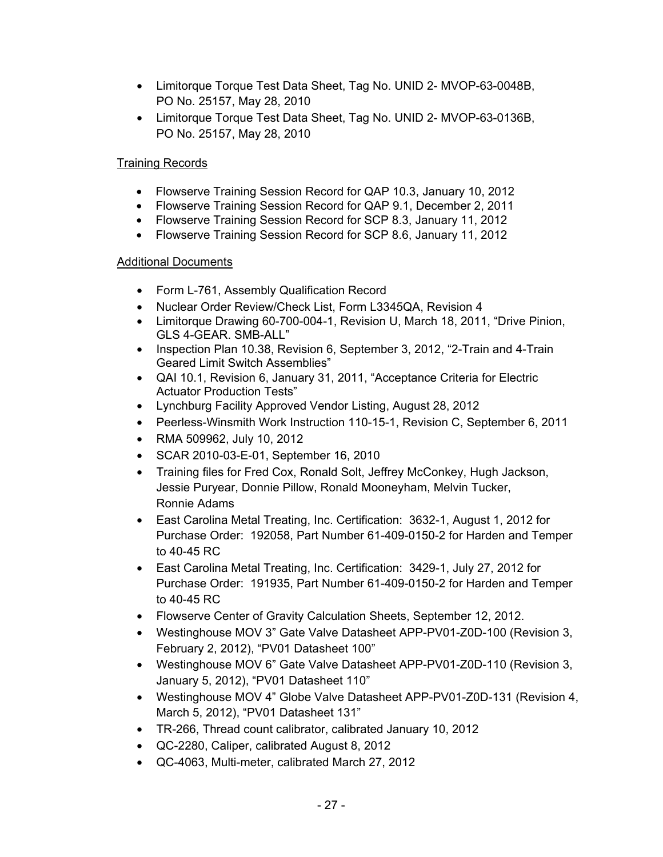- Limitorque Torque Test Data Sheet, Tag No. UNID 2- MVOP-63-0048B, PO No. 25157, May 28, 2010
- Limitorque Torque Test Data Sheet, Tag No. UNID 2- MVOP-63-0136B, PO No. 25157, May 28, 2010

# Training Records

- Flowserve Training Session Record for QAP 10.3, January 10, 2012
- Flowserve Training Session Record for QAP 9.1, December 2, 2011
- Flowserve Training Session Record for SCP 8.3, January 11, 2012
- Flowserve Training Session Record for SCP 8.6, January 11, 2012

# **Additional Documents**

- Form L-761, Assembly Qualification Record
- Nuclear Order Review/Check List, Form L3345QA, Revision 4
- Limitorque Drawing 60-700-004-1, Revision U, March 18, 2011, "Drive Pinion, GLS 4-GEAR. SMB-ALL"
- Inspection Plan 10.38, Revision 6, September 3, 2012, "2-Train and 4-Train Geared Limit Switch Assemblies"
- QAI 10.1, Revision 6, January 31, 2011, "Acceptance Criteria for Electric Actuator Production Tests"
- Lynchburg Facility Approved Vendor Listing, August 28, 2012
- Peerless-Winsmith Work Instruction 110-15-1, Revision C, September 6, 2011
- RMA 509962, July 10, 2012
- SCAR 2010-03-E-01, September 16, 2010
- Training files for Fred Cox, Ronald Solt, Jeffrey McConkey, Hugh Jackson, Jessie Puryear, Donnie Pillow, Ronald Mooneyham, Melvin Tucker, Ronnie Adams
- East Carolina Metal Treating, Inc. Certification: 3632-1, August 1, 2012 for Purchase Order: 192058, Part Number 61-409-0150-2 for Harden and Temper to 40-45 RC
- East Carolina Metal Treating, Inc. Certification: 3429-1, July 27, 2012 for Purchase Order: 191935, Part Number 61-409-0150-2 for Harden and Temper to 40-45 RC
- Flowserve Center of Gravity Calculation Sheets, September 12, 2012.
- Westinghouse MOV 3" Gate Valve Datasheet APP-PV01-Z0D-100 (Revision 3, February 2, 2012), "PV01 Datasheet 100"
- Westinghouse MOV 6" Gate Valve Datasheet APP-PV01-Z0D-110 (Revision 3, January 5, 2012), "PV01 Datasheet 110"
- Westinghouse MOV 4" Globe Valve Datasheet APP-PV01-Z0D-131 (Revision 4, March 5, 2012), "PV01 Datasheet 131"
- TR-266, Thread count calibrator, calibrated January 10, 2012
- QC-2280, Caliper, calibrated August 8, 2012
- QC-4063, Multi-meter, calibrated March 27, 2012